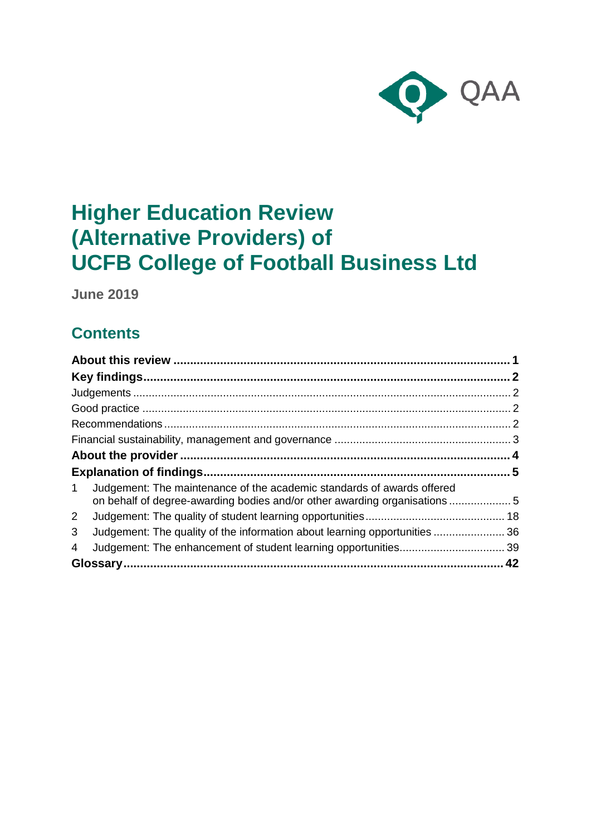

# **Higher Education Review (Alternative Providers) of UCFB College of Football Business Ltd**

**June 2019**

## **Contents**

| $\mathbf 1$  | Judgement: The maintenance of the academic standards of awards offered<br>on behalf of degree-awarding bodies and/or other awarding organisations5 |  |
|--------------|----------------------------------------------------------------------------------------------------------------------------------------------------|--|
| $\mathbf{2}$ |                                                                                                                                                    |  |
| 3            | Judgement: The quality of the information about learning opportunities 36                                                                          |  |
| 4            |                                                                                                                                                    |  |
|              |                                                                                                                                                    |  |
|              |                                                                                                                                                    |  |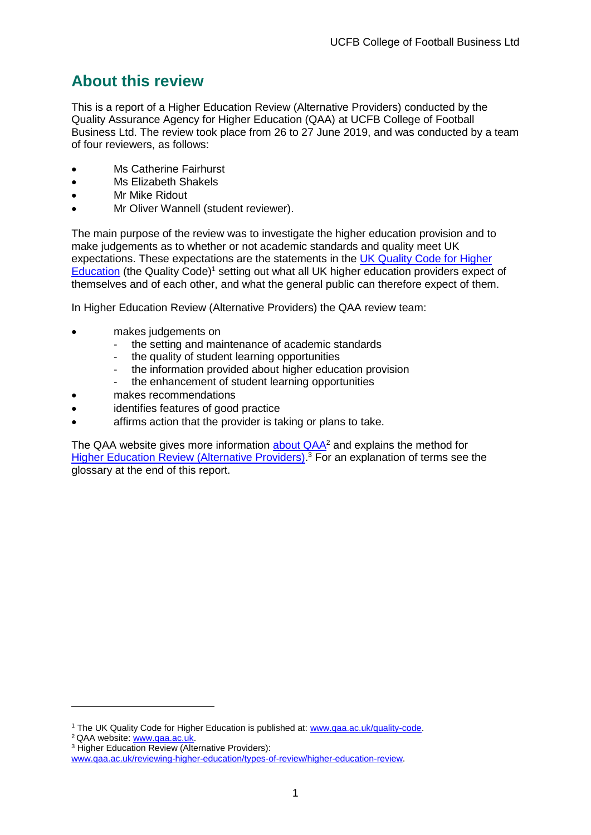## <span id="page-1-0"></span>**About this review**

This is a report of a Higher Education Review (Alternative Providers) conducted by the Quality Assurance Agency for Higher Education (QAA) at UCFB College of Football Business Ltd. The review took place from 26 to 27 June 2019, and was conducted by a team of four reviewers, as follows:

- Ms Catherine Fairhurst
- Ms Elizabeth Shakels
- **Mr Mike Ridout**
- Mr Oliver Wannell (student reviewer).

The main purpose of the review was to investigate the higher education provision and to make judgements as to whether or not academic standards and quality meet UK expectations. These expectations are the statements in the [UK Quality Code for Higher](http://www.qaa.ac.uk/quality-code)  [Education](http://www.qaa.ac.uk/quality-code) (the Quality Code)<sup>1</sup> setting out what all UK higher education providers expect of themselves and of each other, and what the general public can therefore expect of them.

In Higher Education Review (Alternative Providers) the QAA review team:

- makes judgements on
	- the setting and maintenance of academic standards
	- the quality of student learning opportunities
	- the information provided about higher education provision
	- the enhancement of student learning opportunities
- makes recommendations
- identifies features of good practice
- affirms action that the provider is taking or plans to take.

The QAA website gives more information [about QAA](http://www.qaa.ac.uk/)<sup>2</sup> and explains the method for [Higher Education Review \(Alternative Providers\).](https://www.qaa.ac.uk/reviewing-higher-education/types-of-review/higher-education-review)<sup>3</sup> For an explanation of terms see the glossary at the end of this report.

<sup>2</sup> QAA website: [www.qaa.ac.uk.](http://www.qaa.ac.uk/)

-

<sup>&</sup>lt;sup>1</sup> The UK Quality Code for Higher Education is published at: [www.qaa.ac.uk/quality-code.](http://www.qaa.ac.uk/quality-code)

<sup>3</sup> Higher Education Review (Alternative Providers):

[www.qaa.ac.uk/reviewing-higher-education/types-of-review/higher-education-review.](https://www.qaa.ac.uk/reviewing-higher-education/types-of-review/higher-education-review)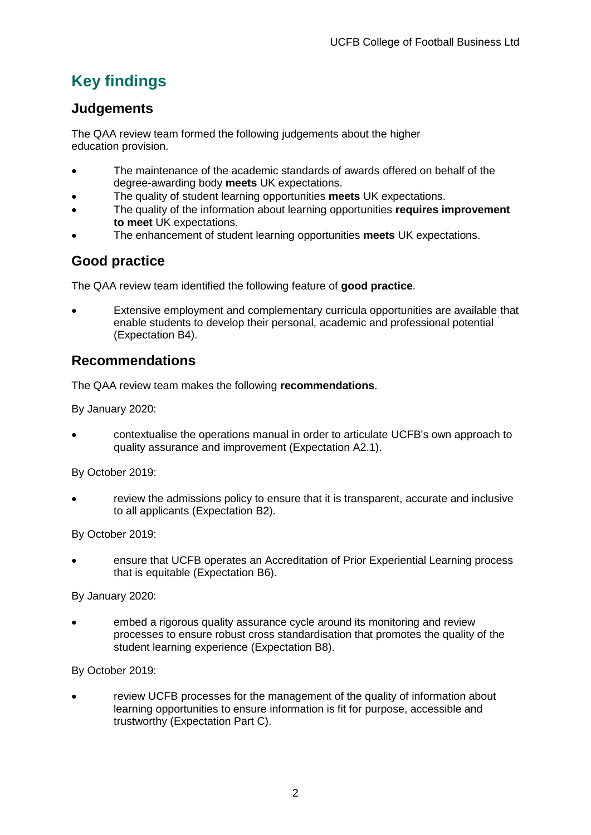## <span id="page-2-0"></span>**Key findings**

## <span id="page-2-1"></span>**Judgements**

The QAA review team formed the following judgements about the higher education provision.

- The maintenance of the academic standards of awards offered on behalf of the degree-awarding body **meets** UK expectations.
- The quality of student learning opportunities **meets** UK expectations.
- The quality of the information about learning opportunities **requires improvement to meet** UK expectations.
- The enhancement of student learning opportunities **meets** UK expectations.

## <span id="page-2-2"></span>**Good practice**

The QAA review team identified the following feature of **good practice**.

• Extensive employment and complementary curricula opportunities are available that enable students to develop their personal, academic and professional potential (Expectation B4).

## <span id="page-2-3"></span>**Recommendations**

The QAA review team makes the following **recommendations**.

By January 2020:

• contextualise the operations manual in order to articulate UCFB's own approach to quality assurance and improvement (Expectation A2.1).

By October 2019:

• review the admissions policy to ensure that it is transparent, accurate and inclusive to all applicants (Expectation B2).

By October 2019:

• ensure that UCFB operates an Accreditation of Prior Experiential Learning process that is equitable (Expectation B6).

By January 2020:

• embed a rigorous quality assurance cycle around its monitoring and review processes to ensure robust cross standardisation that promotes the quality of the student learning experience (Expectation B8).

By October 2019:

• review UCFB processes for the management of the quality of information about learning opportunities to ensure information is fit for purpose, accessible and trustworthy (Expectation Part C).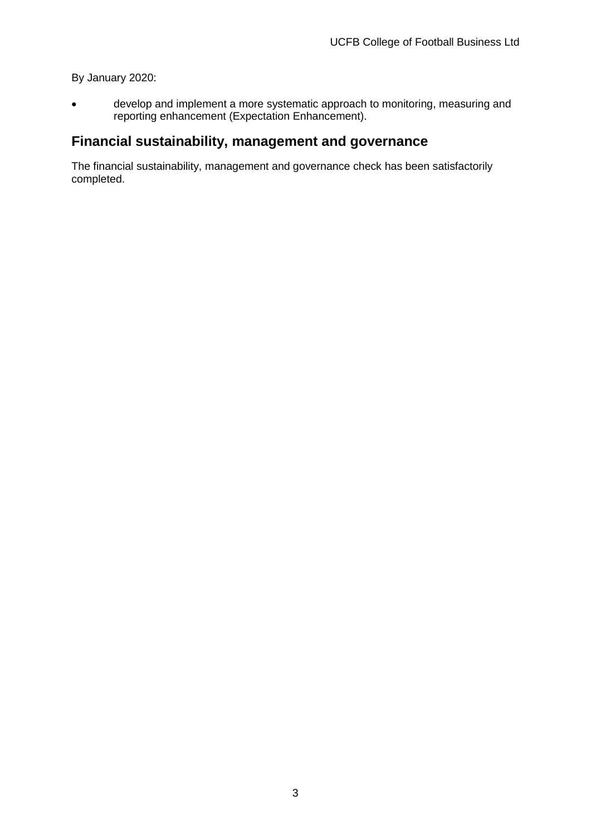#### By January 2020:

• develop and implement a more systematic approach to monitoring, measuring and reporting enhancement (Expectation Enhancement).

## **Financial sustainability, management and governance**

The financial sustainability, management and governance check has been satisfactorily completed.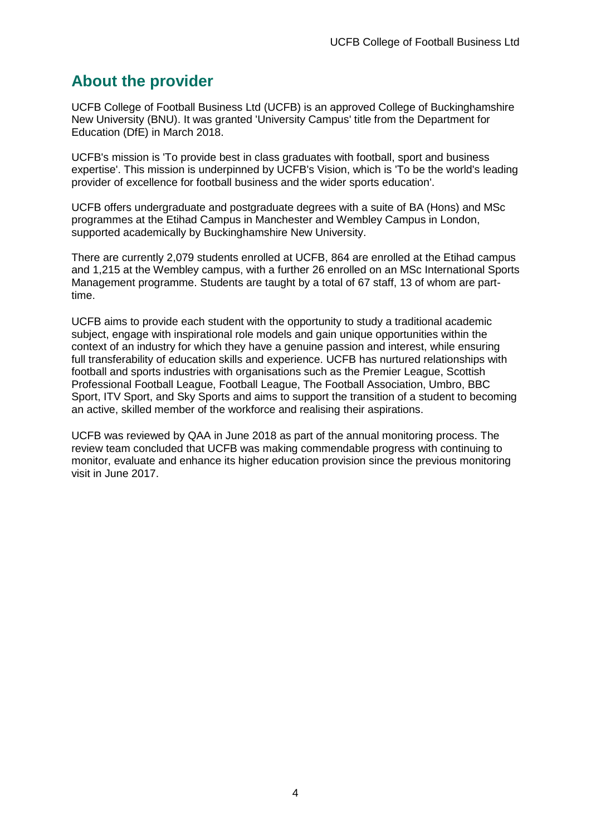## <span id="page-4-0"></span>**About the provider**

UCFB College of Football Business Ltd (UCFB) is an approved College of Buckinghamshire New University (BNU). It was granted 'University Campus' title from the Department for Education (DfE) in March 2018.

UCFB's mission is 'To provide best in class graduates with football, sport and business expertise'. This mission is underpinned by UCFB's Vision, which is 'To be the world's leading provider of excellence for football business and the wider sports education'.

UCFB offers undergraduate and postgraduate degrees with a suite of BA (Hons) and MSc programmes at the Etihad Campus in Manchester and Wembley Campus in London, supported academically by Buckinghamshire New University.

There are currently 2,079 students enrolled at UCFB, 864 are enrolled at the Etihad campus and 1,215 at the Wembley campus, with a further 26 enrolled on an MSc International Sports Management programme. Students are taught by a total of 67 staff, 13 of whom are parttime.

UCFB aims to provide each student with the opportunity to study a traditional academic subject, engage with inspirational role models and gain unique opportunities within the context of an industry for which they have a genuine passion and interest, while ensuring full transferability of education skills and experience. UCFB has nurtured relationships with football and sports industries with organisations such as the Premier League, Scottish Professional Football League, Football League, The Football Association, Umbro, BBC Sport, ITV Sport, and Sky Sports and aims to support the transition of a student to becoming an active, skilled member of the workforce and realising their aspirations.

UCFB was reviewed by QAA in June 2018 as part of the annual monitoring process. The review team concluded that UCFB was making commendable progress with continuing to monitor, evaluate and enhance its higher education provision since the previous monitoring visit in June 2017.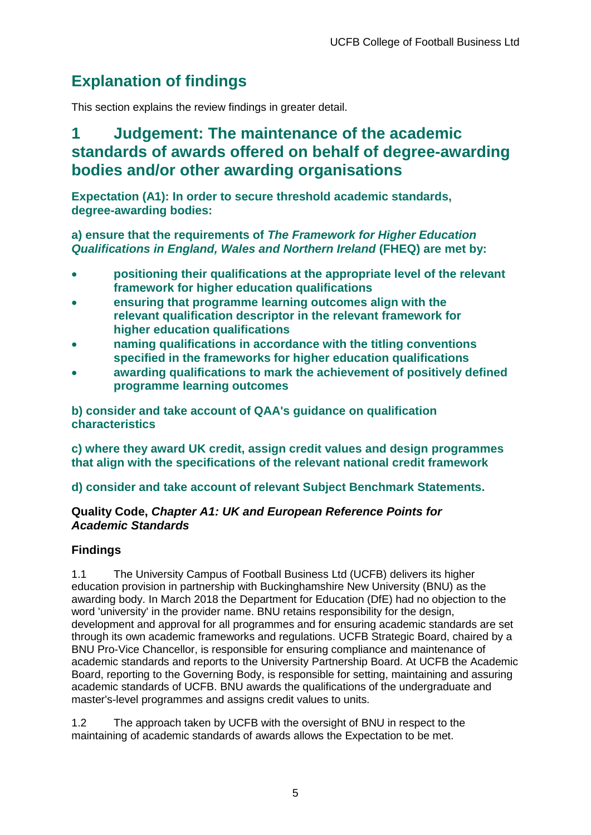## <span id="page-5-0"></span>**Explanation of findings**

This section explains the review findings in greater detail.

## <span id="page-5-1"></span>**1 Judgement: The maintenance of the academic standards of awards offered on behalf of degree-awarding bodies and/or other awarding organisations**

**Expectation (A1): In order to secure threshold academic standards, degree-awarding bodies:**

**a) ensure that the requirements of** *The Framework for Higher Education Qualifications in England, Wales and Northern Ireland* **(FHEQ) are met by:**

- **positioning their qualifications at the appropriate level of the relevant framework for higher education qualifications**
- **ensuring that programme learning outcomes align with the relevant qualification descriptor in the relevant framework for higher education qualifications**
- **naming qualifications in accordance with the titling conventions specified in the frameworks for higher education qualifications**
- **awarding qualifications to mark the achievement of positively defined programme learning outcomes**

**b) consider and take account of QAA's guidance on qualification characteristics** 

**c) where they award UK credit, assign credit values and design programmes that align with the specifications of the relevant national credit framework** 

**d) consider and take account of relevant Subject Benchmark Statements.**

### **Quality Code,** *Chapter A1: UK and European Reference Points for Academic Standards*

## **Findings**

1.1 The University Campus of Football Business Ltd (UCFB) delivers its higher education provision in partnership with Buckinghamshire New University (BNU) as the awarding body. In March 2018 the Department for Education (DfE) had no objection to the word 'university' in the provider name. BNU retains responsibility for the design, development and approval for all programmes and for ensuring academic standards are set through its own academic frameworks and regulations. UCFB Strategic Board, chaired by a BNU Pro-Vice Chancellor, is responsible for ensuring compliance and maintenance of academic standards and reports to the University Partnership Board. At UCFB the Academic Board, reporting to the Governing Body, is responsible for setting, maintaining and assuring academic standards of UCFB. BNU awards the qualifications of the undergraduate and master's-level programmes and assigns credit values to units.

1.2 The approach taken by UCFB with the oversight of BNU in respect to the maintaining of academic standards of awards allows the Expectation to be met.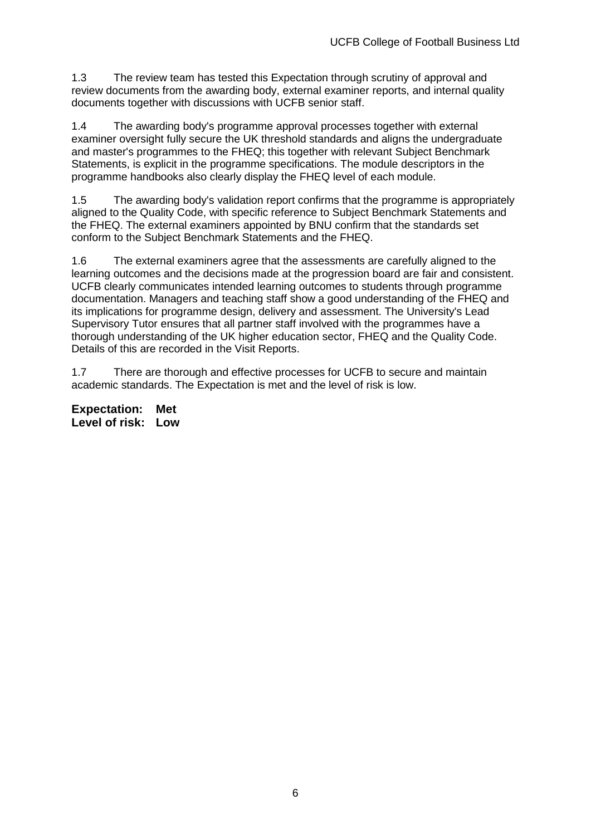1.3 The review team has tested this Expectation through scrutiny of approval and review documents from the awarding body, external examiner reports, and internal quality documents together with discussions with UCFB senior staff.

1.4 The awarding body's programme approval processes together with external examiner oversight fully secure the UK threshold standards and aligns the undergraduate and master's programmes to the FHEQ; this together with relevant Subject Benchmark Statements, is explicit in the programme specifications. The module descriptors in the programme handbooks also clearly display the FHEQ level of each module.

1.5 The awarding body's validation report confirms that the programme is appropriately aligned to the Quality Code, with specific reference to Subject Benchmark Statements and the FHEQ. The external examiners appointed by BNU confirm that the standards set conform to the Subject Benchmark Statements and the FHEQ.

1.6 The external examiners agree that the assessments are carefully aligned to the learning outcomes and the decisions made at the progression board are fair and consistent. UCFB clearly communicates intended learning outcomes to students through programme documentation. Managers and teaching staff show a good understanding of the FHEQ and its implications for programme design, delivery and assessment. The University's Lead Supervisory Tutor ensures that all partner staff involved with the programmes have a thorough understanding of the UK higher education sector, FHEQ and the Quality Code. Details of this are recorded in the Visit Reports.

1.7 There are thorough and effective processes for UCFB to secure and maintain academic standards. The Expectation is met and the level of risk is low.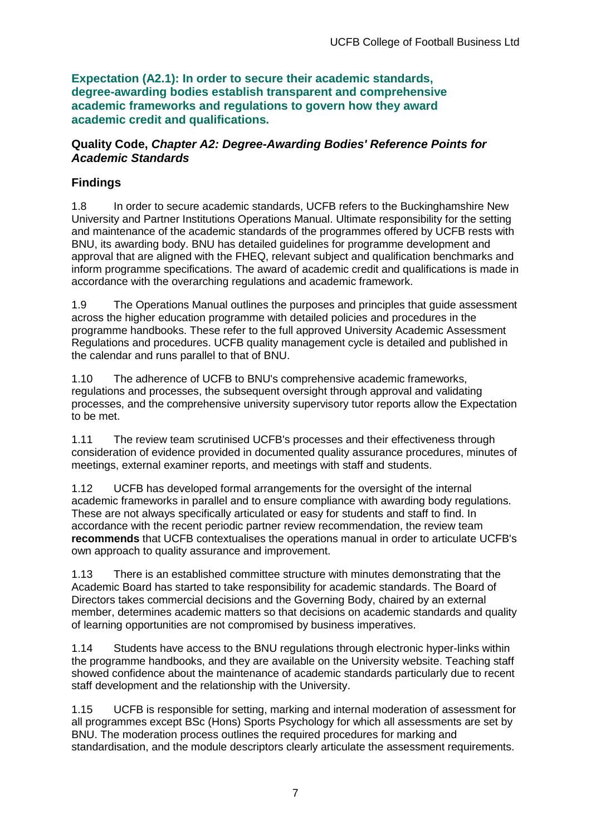**Expectation (A2.1): In order to secure their academic standards, degree-awarding bodies establish transparent and comprehensive academic frameworks and regulations to govern how they award academic credit and qualifications.**

### **Quality Code,** *Chapter A2: Degree-Awarding Bodies' Reference Points for Academic Standards*

## **Findings**

1.8 In order to secure academic standards, UCFB refers to the Buckinghamshire New University and Partner Institutions Operations Manual. Ultimate responsibility for the setting and maintenance of the academic standards of the programmes offered by UCFB rests with BNU, its awarding body. BNU has detailed guidelines for programme development and approval that are aligned with the FHEQ, relevant subject and qualification benchmarks and inform programme specifications. The award of academic credit and qualifications is made in accordance with the overarching regulations and academic framework.

1.9 The Operations Manual outlines the purposes and principles that guide assessment across the higher education programme with detailed policies and procedures in the programme handbooks. These refer to the full approved University Academic Assessment Regulations and procedures. UCFB quality management cycle is detailed and published in the calendar and runs parallel to that of BNU.

1.10 The adherence of UCFB to BNU's comprehensive academic frameworks, regulations and processes, the subsequent oversight through approval and validating processes, and the comprehensive university supervisory tutor reports allow the Expectation to be met.

1.11 The review team scrutinised UCFB's processes and their effectiveness through consideration of evidence provided in documented quality assurance procedures, minutes of meetings, external examiner reports, and meetings with staff and students.

1.12 UCFB has developed formal arrangements for the oversight of the internal academic frameworks in parallel and to ensure compliance with awarding body regulations. These are not always specifically articulated or easy for students and staff to find. In accordance with the recent periodic partner review recommendation, the review team **recommends** that UCFB contextualises the operations manual in order to articulate UCFB's own approach to quality assurance and improvement.

1.13 There is an established committee structure with minutes demonstrating that the Academic Board has started to take responsibility for academic standards. The Board of Directors takes commercial decisions and the Governing Body, chaired by an external member, determines academic matters so that decisions on academic standards and quality of learning opportunities are not compromised by business imperatives.

1.14 Students have access to the BNU regulations through electronic hyper-links within the programme handbooks, and they are available on the University website. Teaching staff showed confidence about the maintenance of academic standards particularly due to recent staff development and the relationship with the University.

1.15 UCFB is responsible for setting, marking and internal moderation of assessment for all programmes except BSc (Hons) Sports Psychology for which all assessments are set by BNU. The moderation process outlines the required procedures for marking and standardisation, and the module descriptors clearly articulate the assessment requirements.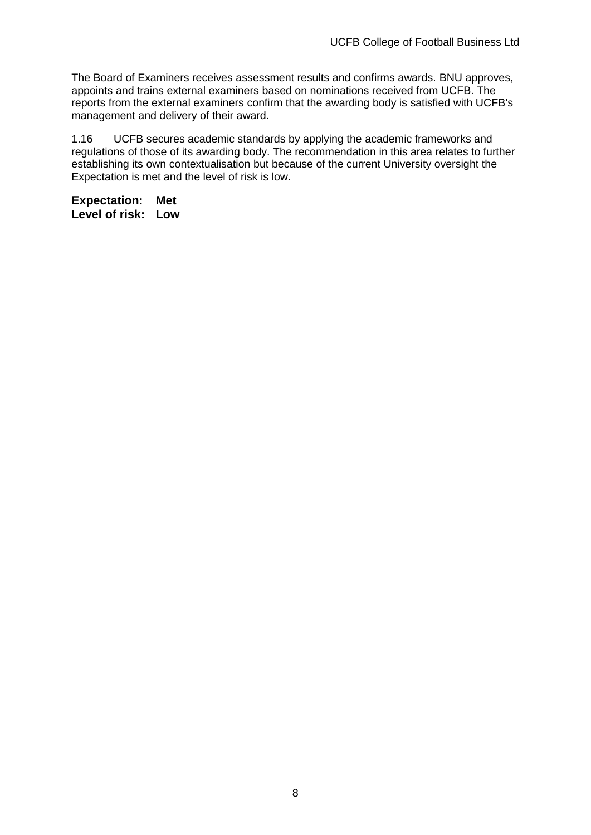The Board of Examiners receives assessment results and confirms awards. BNU approves, appoints and trains external examiners based on nominations received from UCFB. The reports from the external examiners confirm that the awarding body is satisfied with UCFB's management and delivery of their award.

1.16 UCFB secures academic standards by applying the academic frameworks and regulations of those of its awarding body. The recommendation in this area relates to further establishing its own contextualisation but because of the current University oversight the Expectation is met and the level of risk is low.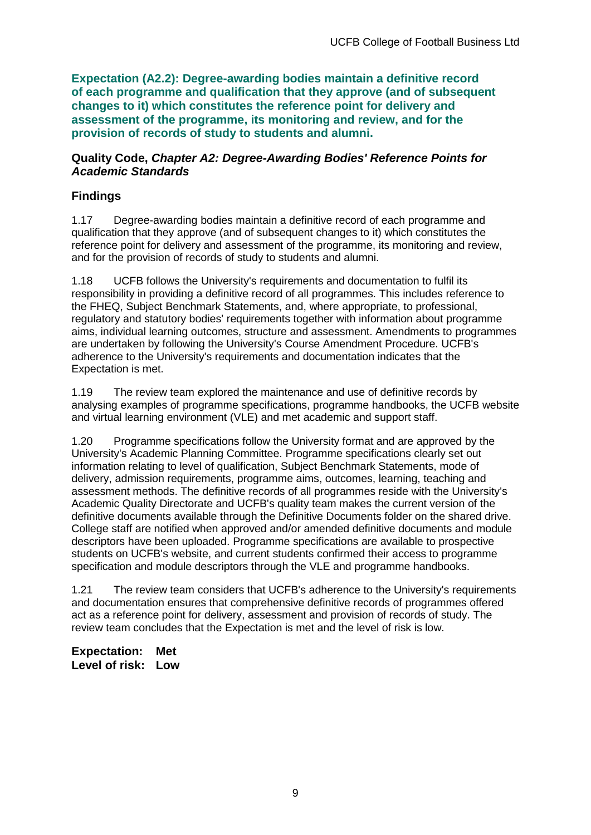**Expectation (A2.2): Degree-awarding bodies maintain a definitive record of each programme and qualification that they approve (and of subsequent changes to it) which constitutes the reference point for delivery and assessment of the programme, its monitoring and review, and for the provision of records of study to students and alumni.** 

#### **Quality Code,** *Chapter A2: Degree-Awarding Bodies' Reference Points for Academic Standards*

## **Findings**

1.17 Degree-awarding bodies maintain a definitive record of each programme and qualification that they approve (and of subsequent changes to it) which constitutes the reference point for delivery and assessment of the programme, its monitoring and review, and for the provision of records of study to students and alumni.

1.18 UCFB follows the University's requirements and documentation to fulfil its responsibility in providing a definitive record of all programmes. This includes reference to the FHEQ, Subject Benchmark Statements, and, where appropriate, to professional, regulatory and statutory bodies' requirements together with information about programme aims, individual learning outcomes, structure and assessment. Amendments to programmes are undertaken by following the University's Course Amendment Procedure. UCFB's adherence to the University's requirements and documentation indicates that the Expectation is met.

1.19 The review team explored the maintenance and use of definitive records by analysing examples of programme specifications, programme handbooks, the UCFB website and virtual learning environment (VLE) and met academic and support staff.

1.20 Programme specifications follow the University format and are approved by the University's Academic Planning Committee. Programme specifications clearly set out information relating to level of qualification, Subject Benchmark Statements, mode of delivery, admission requirements, programme aims, outcomes, learning, teaching and assessment methods. The definitive records of all programmes reside with the University's Academic Quality Directorate and UCFB's quality team makes the current version of the definitive documents available through the Definitive Documents folder on the shared drive. College staff are notified when approved and/or amended definitive documents and module descriptors have been uploaded. Programme specifications are available to prospective students on UCFB's website, and current students confirmed their access to programme specification and module descriptors through the VLE and programme handbooks.

1.21 The review team considers that UCFB's adherence to the University's requirements and documentation ensures that comprehensive definitive records of programmes offered act as a reference point for delivery, assessment and provision of records of study. The review team concludes that the Expectation is met and the level of risk is low.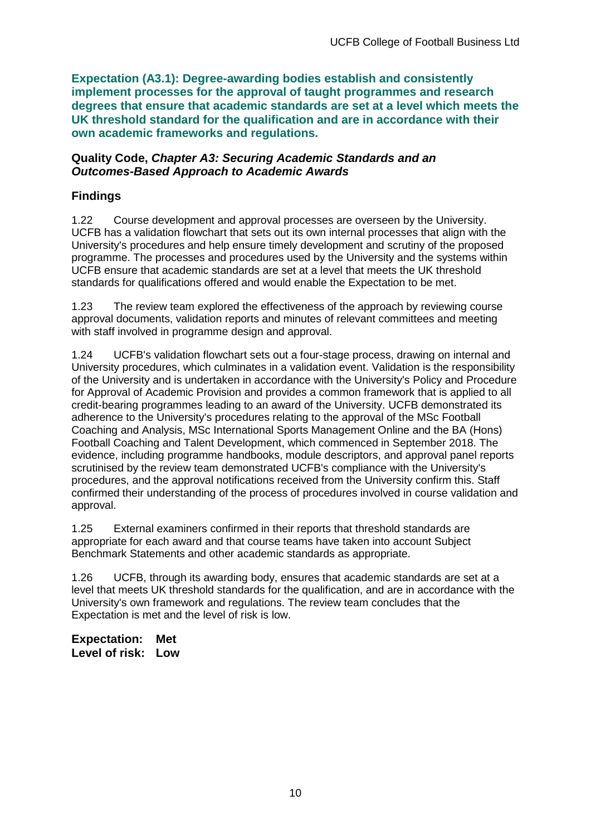**Expectation (A3.1): Degree-awarding bodies establish and consistently implement processes for the approval of taught programmes and research degrees that ensure that academic standards are set at a level which meets the UK threshold standard for the qualification and are in accordance with their own academic frameworks and regulations.**

#### **Quality Code,** *Chapter A3: Securing Academic Standards and an Outcomes-Based Approach to Academic Awards*

## **Findings**

1.22 Course development and approval processes are overseen by the University. UCFB has a validation flowchart that sets out its own internal processes that align with the University's procedures and help ensure timely development and scrutiny of the proposed programme. The processes and procedures used by the University and the systems within UCFB ensure that academic standards are set at a level that meets the UK threshold standards for qualifications offered and would enable the Expectation to be met.

1.23 The review team explored the effectiveness of the approach by reviewing course approval documents, validation reports and minutes of relevant committees and meeting with staff involved in programme design and approval.

1.24 UCFB's validation flowchart sets out a four-stage process, drawing on internal and University procedures, which culminates in a validation event. Validation is the responsibility of the University and is undertaken in accordance with the University's Policy and Procedure for Approval of Academic Provision and provides a common framework that is applied to all credit-bearing programmes leading to an award of the University. UCFB demonstrated its adherence to the University's procedures relating to the approval of the MSc Football Coaching and Analysis, MSc International Sports Management Online and the BA (Hons) Football Coaching and Talent Development, which commenced in September 2018. The evidence, including programme handbooks, module descriptors, and approval panel reports scrutinised by the review team demonstrated UCFB's compliance with the University's procedures, and the approval notifications received from the University confirm this. Staff confirmed their understanding of the process of procedures involved in course validation and approval.

1.25 External examiners confirmed in their reports that threshold standards are appropriate for each award and that course teams have taken into account Subject Benchmark Statements and other academic standards as appropriate.

1.26 UCFB, through its awarding body, ensures that academic standards are set at a level that meets UK threshold standards for the qualification, and are in accordance with the University's own framework and regulations. The review team concludes that the Expectation is met and the level of risk is low.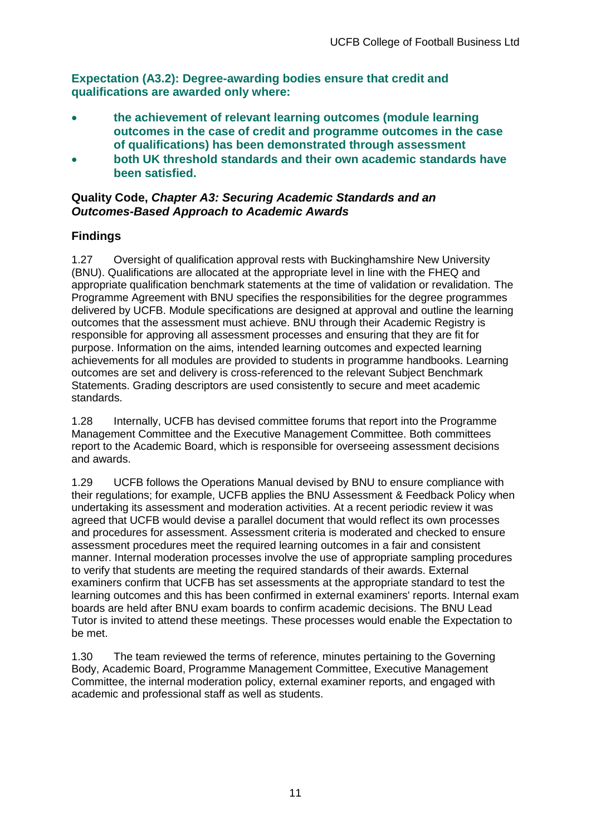**Expectation (A3.2): Degree-awarding bodies ensure that credit and qualifications are awarded only where:**

- **the achievement of relevant learning outcomes (module learning outcomes in the case of credit and programme outcomes in the case of qualifications) has been demonstrated through assessment**
- **both UK threshold standards and their own academic standards have been satisfied.**

### **Quality Code,** *Chapter A3: Securing Academic Standards and an Outcomes-Based Approach to Academic Awards*

## **Findings**

1.27 Oversight of qualification approval rests with Buckinghamshire New University (BNU). Qualifications are allocated at the appropriate level in line with the FHEQ and appropriate qualification benchmark statements at the time of validation or revalidation. The Programme Agreement with BNU specifies the responsibilities for the degree programmes delivered by UCFB. Module specifications are designed at approval and outline the learning outcomes that the assessment must achieve. BNU through their Academic Registry is responsible for approving all assessment processes and ensuring that they are fit for purpose. Information on the aims, intended learning outcomes and expected learning achievements for all modules are provided to students in programme handbooks. Learning outcomes are set and delivery is cross-referenced to the relevant Subject Benchmark Statements. Grading descriptors are used consistently to secure and meet academic standards.

1.28 Internally, UCFB has devised committee forums that report into the Programme Management Committee and the Executive Management Committee. Both committees report to the Academic Board, which is responsible for overseeing assessment decisions and awards.

1.29 UCFB follows the Operations Manual devised by BNU to ensure compliance with their regulations; for example, UCFB applies the BNU Assessment & Feedback Policy when undertaking its assessment and moderation activities. At a recent periodic review it was agreed that UCFB would devise a parallel document that would reflect its own processes and procedures for assessment. Assessment criteria is moderated and checked to ensure assessment procedures meet the required learning outcomes in a fair and consistent manner. Internal moderation processes involve the use of appropriate sampling procedures to verify that students are meeting the required standards of their awards. External examiners confirm that UCFB has set assessments at the appropriate standard to test the learning outcomes and this has been confirmed in external examiners' reports. Internal exam boards are held after BNU exam boards to confirm academic decisions. The BNU Lead Tutor is invited to attend these meetings. These processes would enable the Expectation to be met.

1.30 The team reviewed the terms of reference, minutes pertaining to the Governing Body, Academic Board, Programme Management Committee, Executive Management Committee, the internal moderation policy, external examiner reports, and engaged with academic and professional staff as well as students.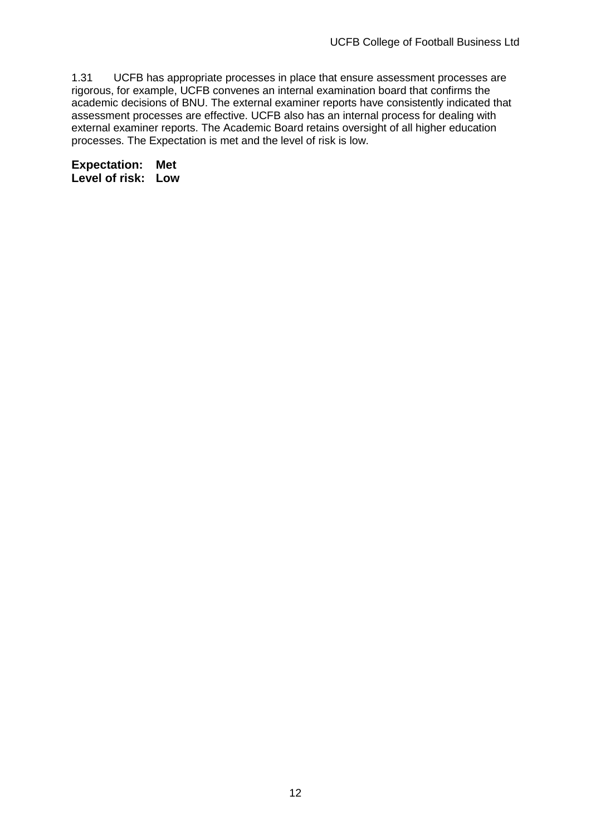1.31 UCFB has appropriate processes in place that ensure assessment processes are rigorous, for example, UCFB convenes an internal examination board that confirms the academic decisions of BNU. The external examiner reports have consistently indicated that assessment processes are effective. UCFB also has an internal process for dealing with external examiner reports. The Academic Board retains oversight of all higher education processes. The Expectation is met and the level of risk is low.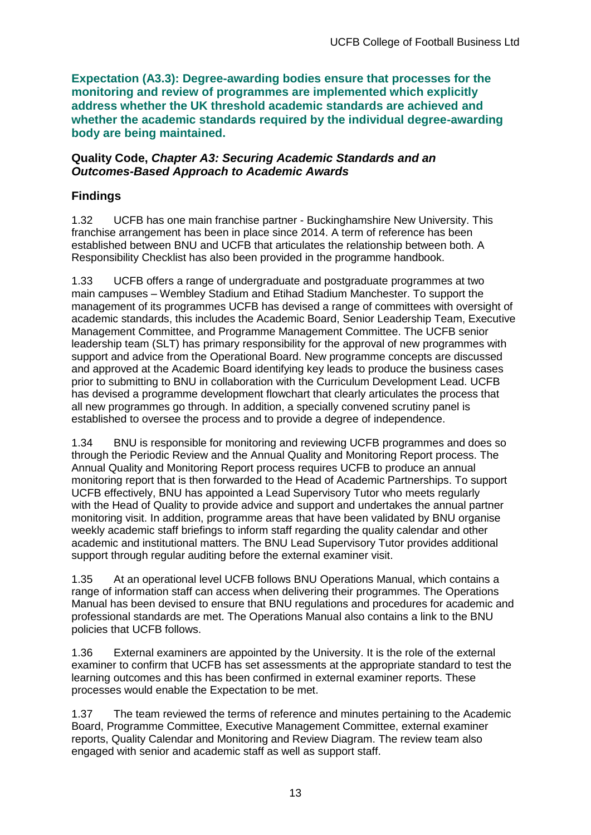**Expectation (A3.3): Degree-awarding bodies ensure that processes for the monitoring and review of programmes are implemented which explicitly address whether the UK threshold academic standards are achieved and whether the academic standards required by the individual degree-awarding body are being maintained.**

#### **Quality Code,** *Chapter A3: Securing Academic Standards and an Outcomes-Based Approach to Academic Awards*

## **Findings**

1.32 UCFB has one main franchise partner - Buckinghamshire New University. This franchise arrangement has been in place since 2014. A term of reference has been established between BNU and UCFB that articulates the relationship between both. A Responsibility Checklist has also been provided in the programme handbook.

1.33 UCFB offers a range of undergraduate and postgraduate programmes at two main campuses – Wembley Stadium and Etihad Stadium Manchester. To support the management of its programmes UCFB has devised a range of committees with oversight of academic standards, this includes the Academic Board, Senior Leadership Team, Executive Management Committee, and Programme Management Committee. The UCFB senior leadership team (SLT) has primary responsibility for the approval of new programmes with support and advice from the Operational Board. New programme concepts are discussed and approved at the Academic Board identifying key leads to produce the business cases prior to submitting to BNU in collaboration with the Curriculum Development Lead. UCFB has devised a programme development flowchart that clearly articulates the process that all new programmes go through. In addition, a specially convened scrutiny panel is established to oversee the process and to provide a degree of independence.

1.34 BNU is responsible for monitoring and reviewing UCFB programmes and does so through the Periodic Review and the Annual Quality and Monitoring Report process. The Annual Quality and Monitoring Report process requires UCFB to produce an annual monitoring report that is then forwarded to the Head of Academic Partnerships. To support UCFB effectively, BNU has appointed a Lead Supervisory Tutor who meets regularly with the Head of Quality to provide advice and support and undertakes the annual partner monitoring visit. In addition, programme areas that have been validated by BNU organise weekly academic staff briefings to inform staff regarding the quality calendar and other academic and institutional matters. The BNU Lead Supervisory Tutor provides additional support through regular auditing before the external examiner visit.

1.35 At an operational level UCFB follows BNU Operations Manual, which contains a range of information staff can access when delivering their programmes. The Operations Manual has been devised to ensure that BNU regulations and procedures for academic and professional standards are met. The Operations Manual also contains a link to the BNU policies that UCFB follows.

1.36 External examiners are appointed by the University. It is the role of the external examiner to confirm that UCFB has set assessments at the appropriate standard to test the learning outcomes and this has been confirmed in external examiner reports. These processes would enable the Expectation to be met.

1.37 The team reviewed the terms of reference and minutes pertaining to the Academic Board, Programme Committee, Executive Management Committee, external examiner reports, Quality Calendar and Monitoring and Review Diagram. The review team also engaged with senior and academic staff as well as support staff.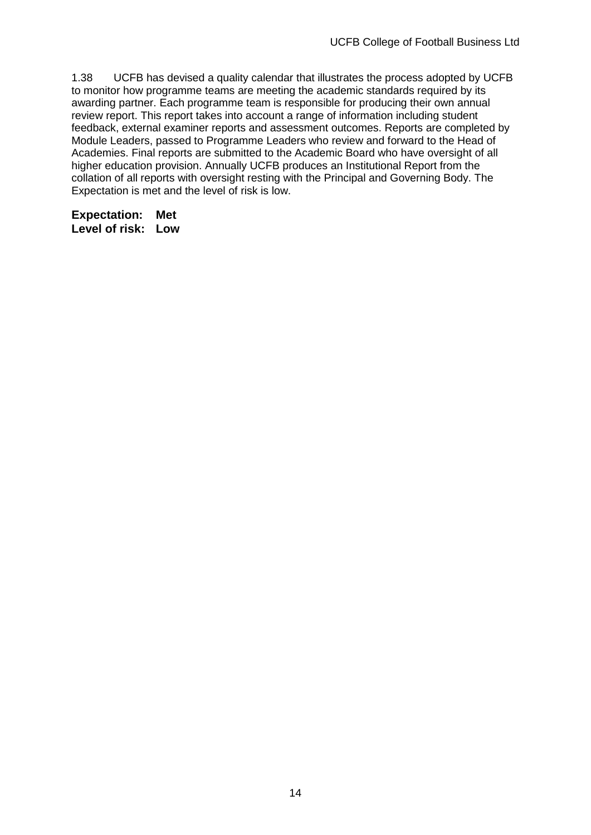1.38 UCFB has devised a quality calendar that illustrates the process adopted by UCFB to monitor how programme teams are meeting the academic standards required by its awarding partner. Each programme team is responsible for producing their own annual review report. This report takes into account a range of information including student feedback, external examiner reports and assessment outcomes. Reports are completed by Module Leaders, passed to Programme Leaders who review and forward to the Head of Academies. Final reports are submitted to the Academic Board who have oversight of all higher education provision. Annually UCFB produces an Institutional Report from the collation of all reports with oversight resting with the Principal and Governing Body. The Expectation is met and the level of risk is low.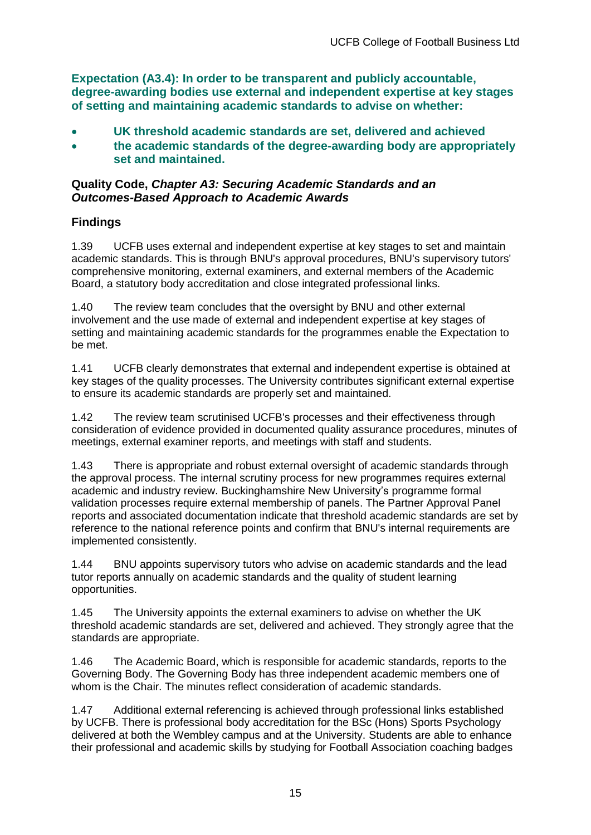**Expectation (A3.4): In order to be transparent and publicly accountable, degree-awarding bodies use external and independent expertise at key stages of setting and maintaining academic standards to advise on whether:**

- **UK threshold academic standards are set, delivered and achieved**
- **the academic standards of the degree-awarding body are appropriately set and maintained.**

#### **Quality Code,** *Chapter A3: Securing Academic Standards and an Outcomes-Based Approach to Academic Awards*

## **Findings**

1.39 UCFB uses external and independent expertise at key stages to set and maintain academic standards. This is through BNU's approval procedures, BNU's supervisory tutors' comprehensive monitoring, external examiners, and external members of the Academic Board, a statutory body accreditation and close integrated professional links.

1.40 The review team concludes that the oversight by BNU and other external involvement and the use made of external and independent expertise at key stages of setting and maintaining academic standards for the programmes enable the Expectation to be met.

1.41 UCFB clearly demonstrates that external and independent expertise is obtained at key stages of the quality processes. The University contributes significant external expertise to ensure its academic standards are properly set and maintained.

1.42 The review team scrutinised UCFB's processes and their effectiveness through consideration of evidence provided in documented quality assurance procedures, minutes of meetings, external examiner reports, and meetings with staff and students.

1.43 There is appropriate and robust external oversight of academic standards through the approval process. The internal scrutiny process for new programmes requires external academic and industry review. Buckinghamshire New University's programme formal validation processes require external membership of panels. The Partner Approval Panel reports and associated documentation indicate that threshold academic standards are set by reference to the national reference points and confirm that BNU's internal requirements are implemented consistently.

1.44 BNU appoints supervisory tutors who advise on academic standards and the lead tutor reports annually on academic standards and the quality of student learning opportunities.

1.45 The University appoints the external examiners to advise on whether the UK threshold academic standards are set, delivered and achieved. They strongly agree that the standards are appropriate.

1.46 The Academic Board, which is responsible for academic standards, reports to the Governing Body. The Governing Body has three independent academic members one of whom is the Chair. The minutes reflect consideration of academic standards.

1.47 Additional external referencing is achieved through professional links established by UCFB. There is professional body accreditation for the BSc (Hons) Sports Psychology delivered at both the Wembley campus and at the University. Students are able to enhance their professional and academic skills by studying for Football Association coaching badges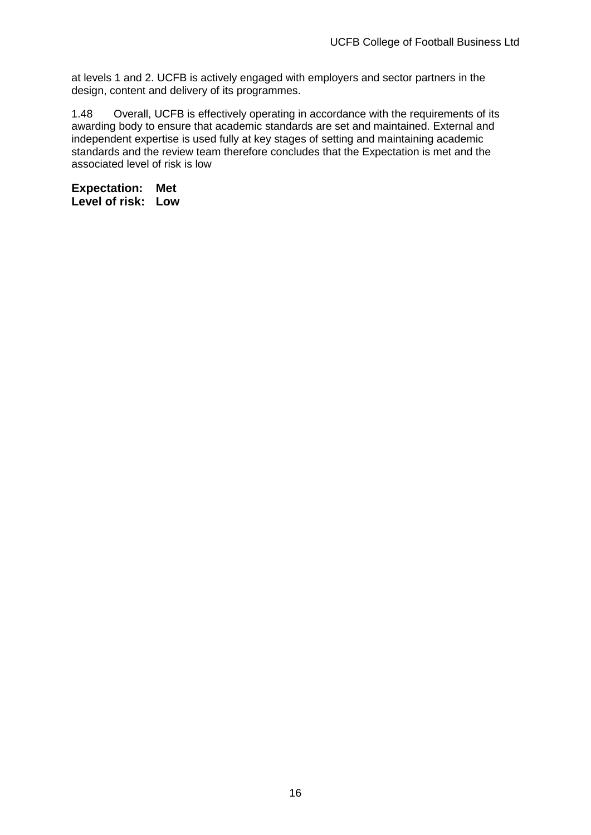at levels 1 and 2. UCFB is actively engaged with employers and sector partners in the design, content and delivery of its programmes.

1.48 Overall, UCFB is effectively operating in accordance with the requirements of its awarding body to ensure that academic standards are set and maintained. External and independent expertise is used fully at key stages of setting and maintaining academic standards and the review team therefore concludes that the Expectation is met and the associated level of risk is low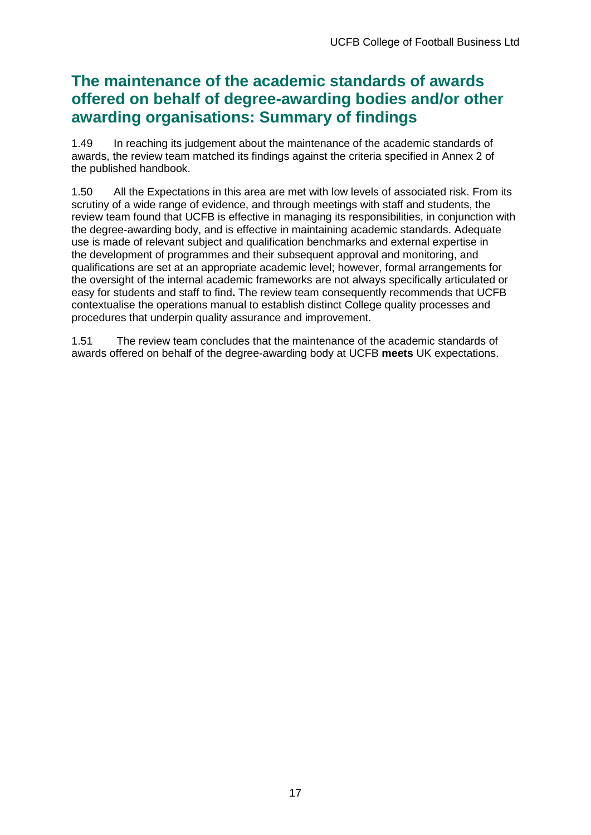## **The maintenance of the academic standards of awards offered on behalf of degree-awarding bodies and/or other awarding organisations: Summary of findings**

1.49 In reaching its judgement about the maintenance of the academic standards of awards, the review team matched its findings against the criteria specified in Annex 2 of the published handbook.

1.50 All the Expectations in this area are met with low levels of associated risk. From its scrutiny of a wide range of evidence, and through meetings with staff and students, the review team found that UCFB is effective in managing its responsibilities, in conjunction with the degree-awarding body, and is effective in maintaining academic standards. Adequate use is made of relevant subject and qualification benchmarks and external expertise in the development of programmes and their subsequent approval and monitoring, and qualifications are set at an appropriate academic level; however, formal arrangements for the oversight of the internal academic frameworks are not always specifically articulated or easy for students and staff to find**.** The review team consequently recommends that UCFB contextualise the operations manual to establish distinct College quality processes and procedures that underpin quality assurance and improvement.

1.51 The review team concludes that the maintenance of the academic standards of awards offered on behalf of the degree-awarding body at UCFB **meets** UK expectations.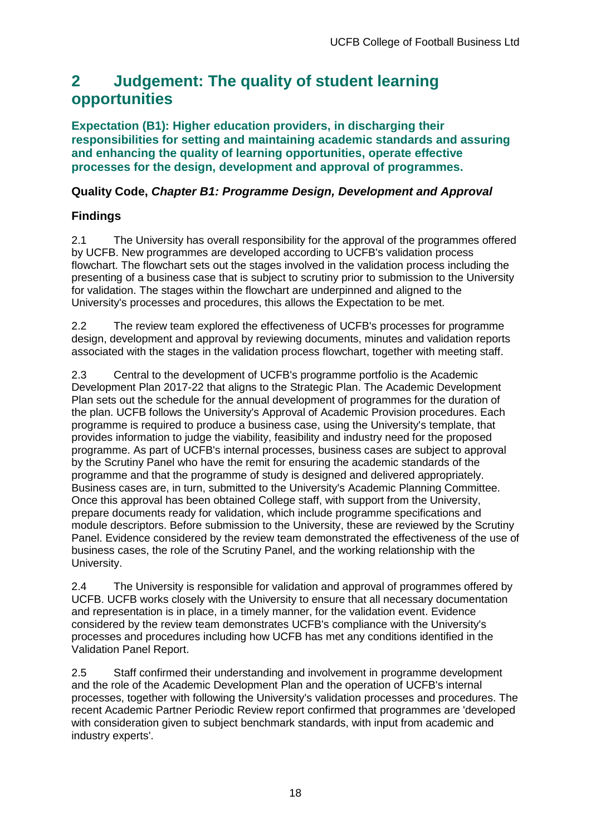## <span id="page-18-0"></span>**2 Judgement: The quality of student learning opportunities**

**Expectation (B1): Higher education providers, in discharging their responsibilities for setting and maintaining academic standards and assuring and enhancing the quality of learning opportunities, operate effective processes for the design, development and approval of programmes.**

## **Quality Code,** *Chapter B1: Programme Design, Development and Approval*

## **Findings**

2.1 The University has overall responsibility for the approval of the programmes offered by UCFB. New programmes are developed according to UCFB's validation process flowchart. The flowchart sets out the stages involved in the validation process including the presenting of a business case that is subject to scrutiny prior to submission to the University for validation. The stages within the flowchart are underpinned and aligned to the University's processes and procedures, this allows the Expectation to be met.

2.2 The review team explored the effectiveness of UCFB's processes for programme design, development and approval by reviewing documents, minutes and validation reports associated with the stages in the validation process flowchart, together with meeting staff.

2.3 Central to the development of UCFB's programme portfolio is the Academic Development Plan 2017-22 that aligns to the Strategic Plan. The Academic Development Plan sets out the schedule for the annual development of programmes for the duration of the plan. UCFB follows the University's Approval of Academic Provision procedures. Each programme is required to produce a business case, using the University's template, that provides information to judge the viability, feasibility and industry need for the proposed programme. As part of UCFB's internal processes, business cases are subject to approval by the Scrutiny Panel who have the remit for ensuring the academic standards of the programme and that the programme of study is designed and delivered appropriately. Business cases are, in turn, submitted to the University's Academic Planning Committee. Once this approval has been obtained College staff, with support from the University, prepare documents ready for validation, which include programme specifications and module descriptors. Before submission to the University, these are reviewed by the Scrutiny Panel. Evidence considered by the review team demonstrated the effectiveness of the use of business cases, the role of the Scrutiny Panel, and the working relationship with the University.

2.4 The University is responsible for validation and approval of programmes offered by UCFB. UCFB works closely with the University to ensure that all necessary documentation and representation is in place, in a timely manner, for the validation event. Evidence considered by the review team demonstrates UCFB's compliance with the University's processes and procedures including how UCFB has met any conditions identified in the Validation Panel Report.

2.5 Staff confirmed their understanding and involvement in programme development and the role of the Academic Development Plan and the operation of UCFB's internal processes, together with following the University's validation processes and procedures. The recent Academic Partner Periodic Review report confirmed that programmes are 'developed with consideration given to subject benchmark standards, with input from academic and industry experts'.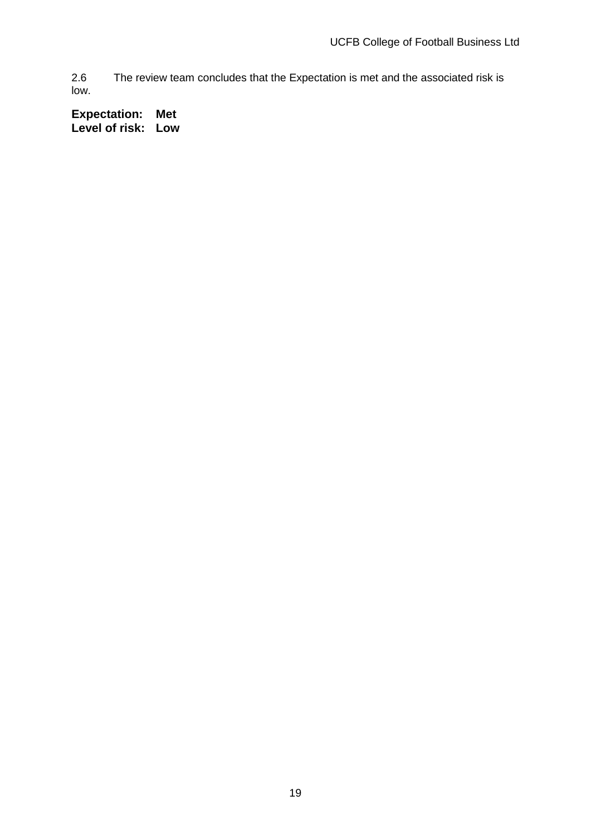2.6 The review team concludes that the Expectation is met and the associated risk is low.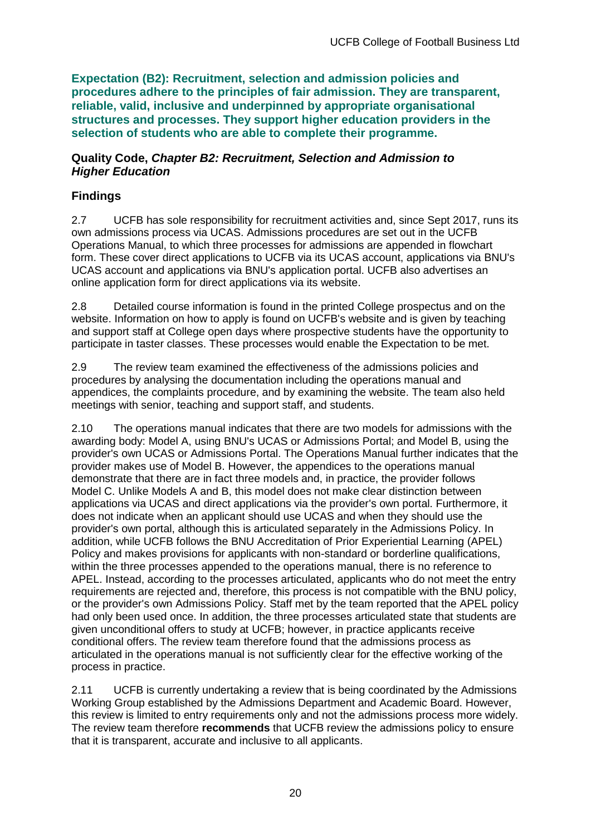**Expectation (B2): Recruitment, selection and admission policies and procedures adhere to the principles of fair admission. They are transparent, reliable, valid, inclusive and underpinned by appropriate organisational structures and processes. They support higher education providers in the selection of students who are able to complete their programme.**

#### **Quality Code,** *Chapter B2: Recruitment, Selection and Admission to Higher Education*

## **Findings**

2.7 UCFB has sole responsibility for recruitment activities and, since Sept 2017, runs its own admissions process via UCAS. Admissions procedures are set out in the UCFB Operations Manual, to which three processes for admissions are appended in flowchart form. These cover direct applications to UCFB via its UCAS account, applications via BNU's UCAS account and applications via BNU's application portal. UCFB also advertises an online application form for direct applications via its website.

2.8 Detailed course information is found in the printed College prospectus and on the website. Information on how to apply is found on UCFB's website and is given by teaching and support staff at College open days where prospective students have the opportunity to participate in taster classes. These processes would enable the Expectation to be met.

2.9 The review team examined the effectiveness of the admissions policies and procedures by analysing the documentation including the operations manual and appendices, the complaints procedure, and by examining the website. The team also held meetings with senior, teaching and support staff, and students.

2.10 The operations manual indicates that there are two models for admissions with the awarding body: Model A, using BNU's UCAS or Admissions Portal; and Model B, using the provider's own UCAS or Admissions Portal. The Operations Manual further indicates that the provider makes use of Model B. However, the appendices to the operations manual demonstrate that there are in fact three models and, in practice, the provider follows Model C. Unlike Models A and B, this model does not make clear distinction between applications via UCAS and direct applications via the provider's own portal. Furthermore, it does not indicate when an applicant should use UCAS and when they should use the provider's own portal, although this is articulated separately in the Admissions Policy. In addition, while UCFB follows the BNU Accreditation of Prior Experiential Learning (APEL) Policy and makes provisions for applicants with non-standard or borderline qualifications, within the three processes appended to the operations manual, there is no reference to APEL. Instead, according to the processes articulated, applicants who do not meet the entry requirements are rejected and, therefore, this process is not compatible with the BNU policy, or the provider's own Admissions Policy. Staff met by the team reported that the APEL policy had only been used once. In addition, the three processes articulated state that students are given unconditional offers to study at UCFB; however, in practice applicants receive conditional offers. The review team therefore found that the admissions process as articulated in the operations manual is not sufficiently clear for the effective working of the process in practice.

2.11 UCFB is currently undertaking a review that is being coordinated by the Admissions Working Group established by the Admissions Department and Academic Board. However, this review is limited to entry requirements only and not the admissions process more widely. The review team therefore **recommends** that UCFB review the admissions policy to ensure that it is transparent, accurate and inclusive to all applicants.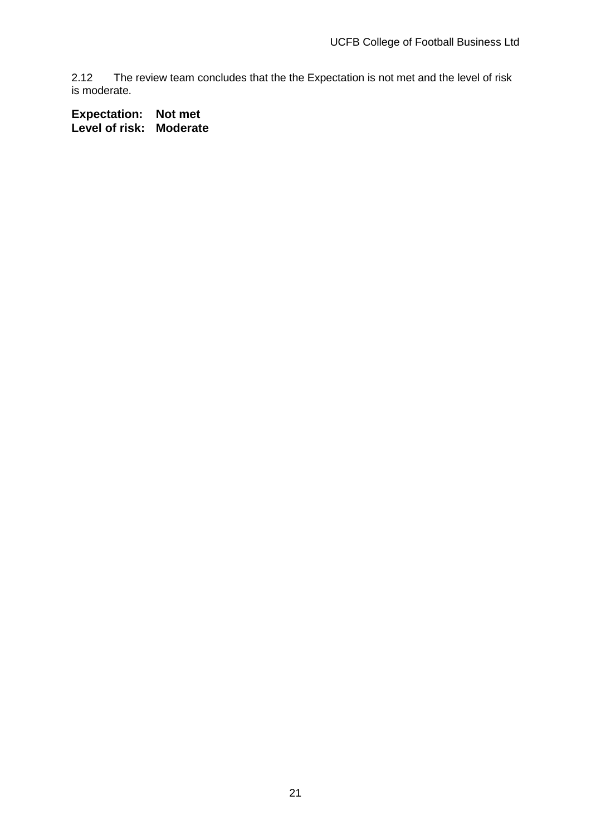2.12 The review team concludes that the the Expectation is not met and the level of risk is moderate.

**Expectation: Not met Level of risk: Moderate**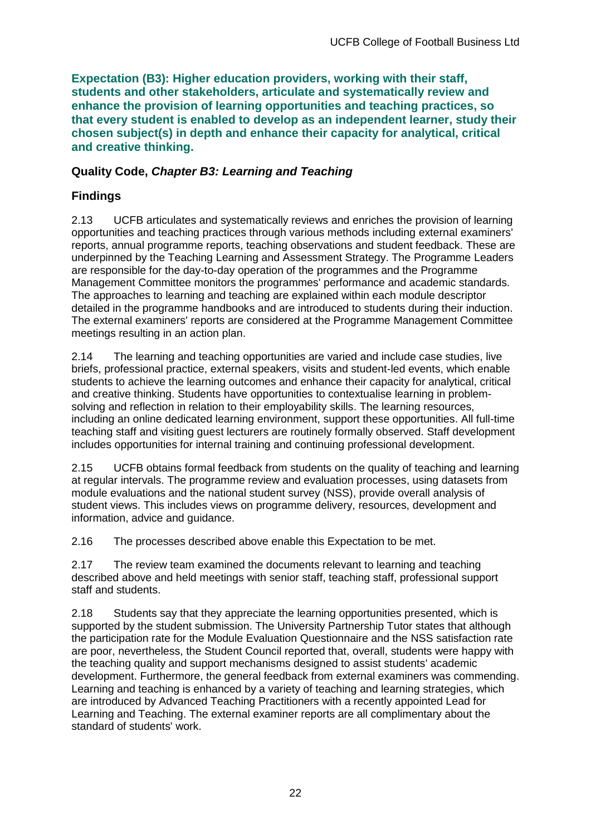**Expectation (B3): Higher education providers, working with their staff, students and other stakeholders, articulate and systematically review and enhance the provision of learning opportunities and teaching practices, so that every student is enabled to develop as an independent learner, study their chosen subject(s) in depth and enhance their capacity for analytical, critical and creative thinking.**

## **Quality Code,** *Chapter B3: Learning and Teaching*

## **Findings**

2.13 UCFB articulates and systematically reviews and enriches the provision of learning opportunities and teaching practices through various methods including external examiners' reports, annual programme reports, teaching observations and student feedback. These are underpinned by the Teaching Learning and Assessment Strategy. The Programme Leaders are responsible for the day-to-day operation of the programmes and the Programme Management Committee monitors the programmes' performance and academic standards. The approaches to learning and teaching are explained within each module descriptor detailed in the programme handbooks and are introduced to students during their induction. The external examiners' reports are considered at the Programme Management Committee meetings resulting in an action plan.

2.14 The learning and teaching opportunities are varied and include case studies, live briefs, professional practice, external speakers, visits and student-led events, which enable students to achieve the learning outcomes and enhance their capacity for analytical, critical and creative thinking. Students have opportunities to contextualise learning in problemsolving and reflection in relation to their employability skills. The learning resources, including an online dedicated learning environment, support these opportunities. All full-time teaching staff and visiting guest lecturers are routinely formally observed. Staff development includes opportunities for internal training and continuing professional development.

2.15 UCFB obtains formal feedback from students on the quality of teaching and learning at regular intervals. The programme review and evaluation processes, using datasets from module evaluations and the national student survey (NSS), provide overall analysis of student views. This includes views on programme delivery, resources, development and information, advice and guidance.

2.16 The processes described above enable this Expectation to be met.

2.17 The review team examined the documents relevant to learning and teaching described above and held meetings with senior staff, teaching staff, professional support staff and students.

2.18 Students say that they appreciate the learning opportunities presented, which is supported by the student submission. The University Partnership Tutor states that although the participation rate for the Module Evaluation Questionnaire and the NSS satisfaction rate are poor, nevertheless, the Student Council reported that, overall, students were happy with the teaching quality and support mechanisms designed to assist students' academic development. Furthermore, the general feedback from external examiners was commending. Learning and teaching is enhanced by a variety of teaching and learning strategies, which are introduced by Advanced Teaching Practitioners with a recently appointed Lead for Learning and Teaching. The external examiner reports are all complimentary about the standard of students' work.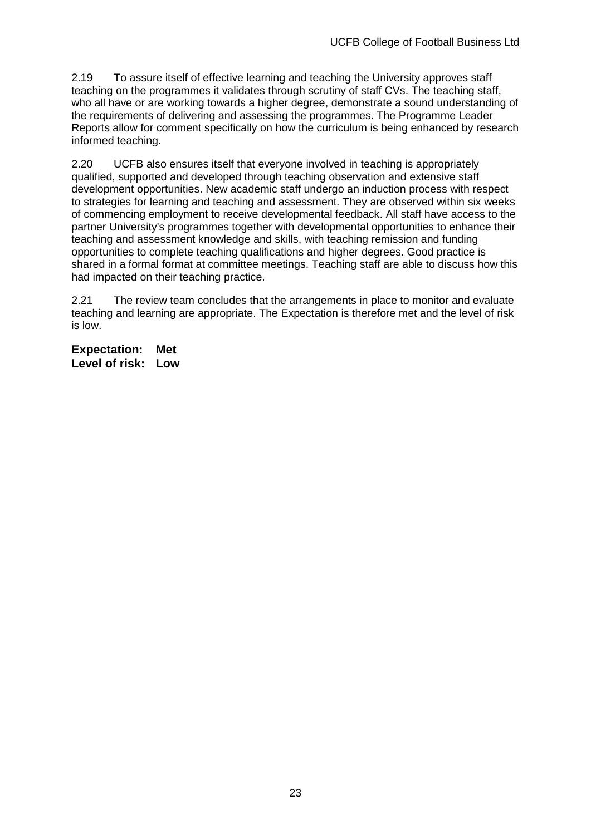2.19 To assure itself of effective learning and teaching the University approves staff teaching on the programmes it validates through scrutiny of staff CVs. The teaching staff, who all have or are working towards a higher degree, demonstrate a sound understanding of the requirements of delivering and assessing the programmes. The Programme Leader Reports allow for comment specifically on how the curriculum is being enhanced by research informed teaching.

2.20 UCFB also ensures itself that everyone involved in teaching is appropriately qualified, supported and developed through teaching observation and extensive staff development opportunities. New academic staff undergo an induction process with respect to strategies for learning and teaching and assessment. They are observed within six weeks of commencing employment to receive developmental feedback. All staff have access to the partner University's programmes together with developmental opportunities to enhance their teaching and assessment knowledge and skills, with teaching remission and funding opportunities to complete teaching qualifications and higher degrees. Good practice is shared in a formal format at committee meetings. Teaching staff are able to discuss how this had impacted on their teaching practice.

2.21 The review team concludes that the arrangements in place to monitor and evaluate teaching and learning are appropriate. The Expectation is therefore met and the level of risk is low.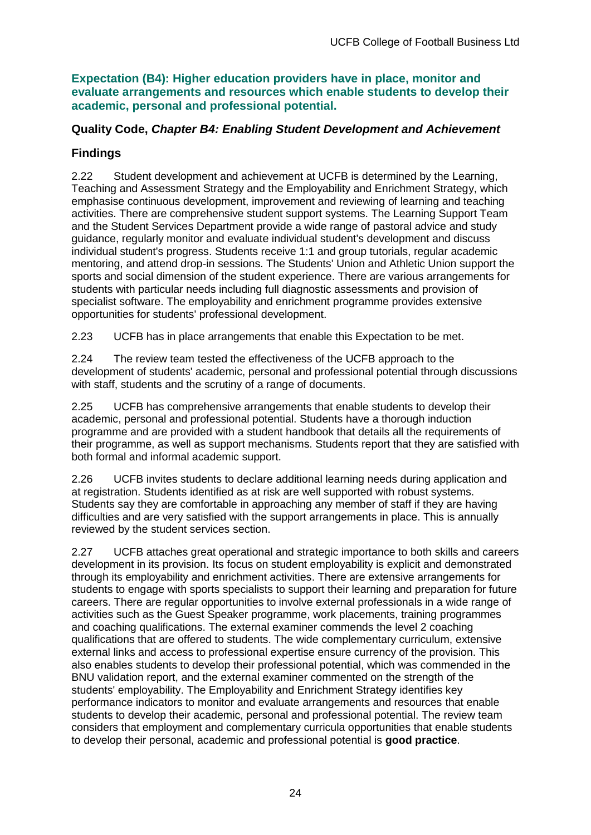**Expectation (B4): Higher education providers have in place, monitor and evaluate arrangements and resources which enable students to develop their academic, personal and professional potential.**

## **Quality Code,** *Chapter B4: Enabling Student Development and Achievement*

### **Findings**

2.22 Student development and achievement at UCFB is determined by the Learning, Teaching and Assessment Strategy and the Employability and Enrichment Strategy, which emphasise continuous development, improvement and reviewing of learning and teaching activities. There are comprehensive student support systems. The Learning Support Team and the Student Services Department provide a wide range of pastoral advice and study guidance, regularly monitor and evaluate individual student's development and discuss individual student's progress. Students receive 1:1 and group tutorials, regular academic mentoring, and attend drop-in sessions. The Students' Union and Athletic Union support the sports and social dimension of the student experience. There are various arrangements for students with particular needs including full diagnostic assessments and provision of specialist software. The employability and enrichment programme provides extensive opportunities for students' professional development.

2.23 UCFB has in place arrangements that enable this Expectation to be met.

2.24 The review team tested the effectiveness of the UCFB approach to the development of students' academic, personal and professional potential through discussions with staff, students and the scrutiny of a range of documents.

2.25 UCFB has comprehensive arrangements that enable students to develop their academic, personal and professional potential. Students have a thorough induction programme and are provided with a student handbook that details all the requirements of their programme, as well as support mechanisms. Students report that they are satisfied with both formal and informal academic support.

2.26 UCFB invites students to declare additional learning needs during application and at registration. Students identified as at risk are well supported with robust systems. Students say they are comfortable in approaching any member of staff if they are having difficulties and are very satisfied with the support arrangements in place. This is annually reviewed by the student services section.

2.27 UCFB attaches great operational and strategic importance to both skills and careers development in its provision. Its focus on student employability is explicit and demonstrated through its employability and enrichment activities. There are extensive arrangements for students to engage with sports specialists to support their learning and preparation for future careers. There are regular opportunities to involve external professionals in a wide range of activities such as the Guest Speaker programme, work placements, training programmes and coaching qualifications. The external examiner commends the level 2 coaching qualifications that are offered to students. The wide complementary curriculum, extensive external links and access to professional expertise ensure currency of the provision. This also enables students to develop their professional potential, which was commended in the BNU validation report, and the external examiner commented on the strength of the students' employability. The Employability and Enrichment Strategy identifies key performance indicators to monitor and evaluate arrangements and resources that enable students to develop their academic, personal and professional potential. The review team considers that employment and complementary curricula opportunities that enable students to develop their personal, academic and professional potential is **good practice**.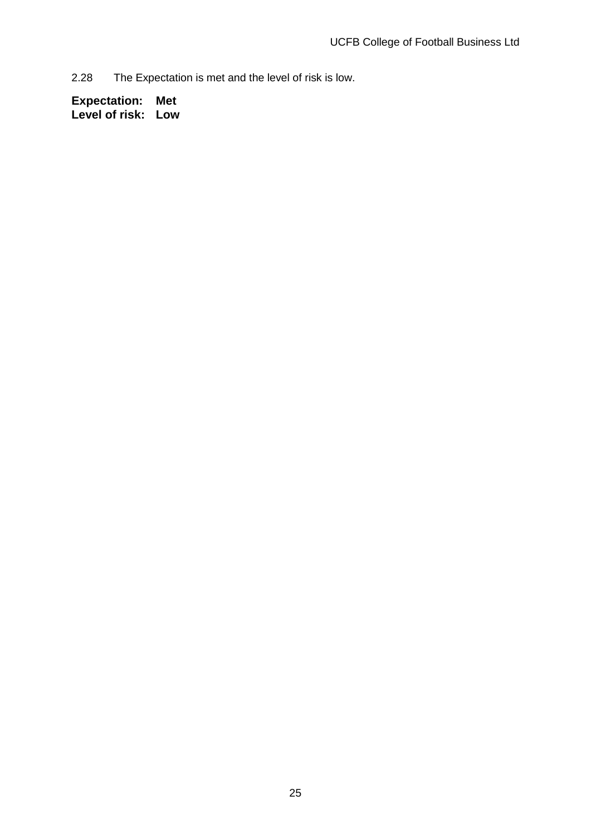2.28 The Expectation is met and the level of risk is low.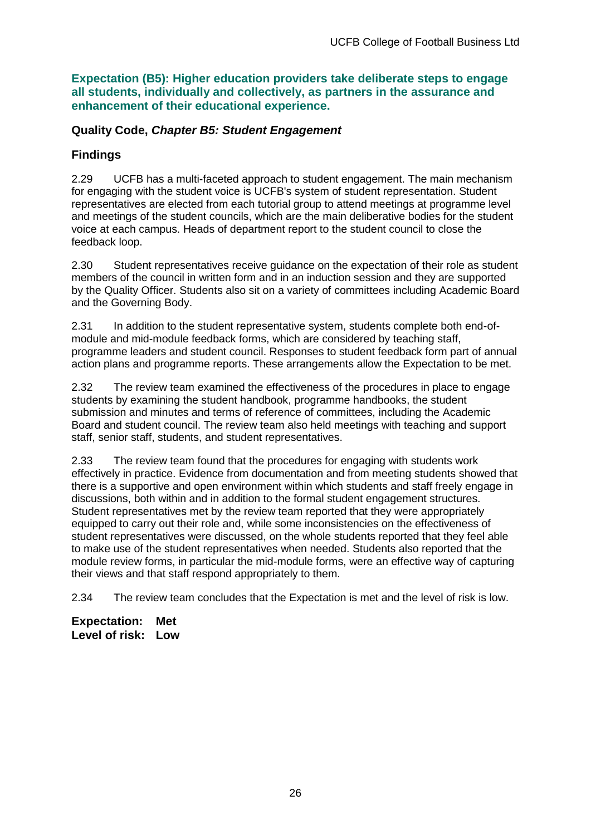**Expectation (B5): Higher education providers take deliberate steps to engage all students, individually and collectively, as partners in the assurance and enhancement of their educational experience.**

### **Quality Code,** *Chapter B5: Student Engagement*

## **Findings**

2.29 UCFB has a multi-faceted approach to student engagement. The main mechanism for engaging with the student voice is UCFB's system of student representation. Student representatives are elected from each tutorial group to attend meetings at programme level and meetings of the student councils, which are the main deliberative bodies for the student voice at each campus. Heads of department report to the student council to close the feedback loop.

2.30 Student representatives receive guidance on the expectation of their role as student members of the council in written form and in an induction session and they are supported by the Quality Officer. Students also sit on a variety of committees including Academic Board and the Governing Body.

2.31 In addition to the student representative system, students complete both end-ofmodule and mid-module feedback forms, which are considered by teaching staff, programme leaders and student council. Responses to student feedback form part of annual action plans and programme reports. These arrangements allow the Expectation to be met.

2.32 The review team examined the effectiveness of the procedures in place to engage students by examining the student handbook, programme handbooks, the student submission and minutes and terms of reference of committees, including the Academic Board and student council. The review team also held meetings with teaching and support staff, senior staff, students, and student representatives.

2.33 The review team found that the procedures for engaging with students work effectively in practice. Evidence from documentation and from meeting students showed that there is a supportive and open environment within which students and staff freely engage in discussions, both within and in addition to the formal student engagement structures. Student representatives met by the review team reported that they were appropriately equipped to carry out their role and, while some inconsistencies on the effectiveness of student representatives were discussed, on the whole students reported that they feel able to make use of the student representatives when needed. Students also reported that the module review forms, in particular the mid-module forms, were an effective way of capturing their views and that staff respond appropriately to them.

2.34 The review team concludes that the Expectation is met and the level of risk is low.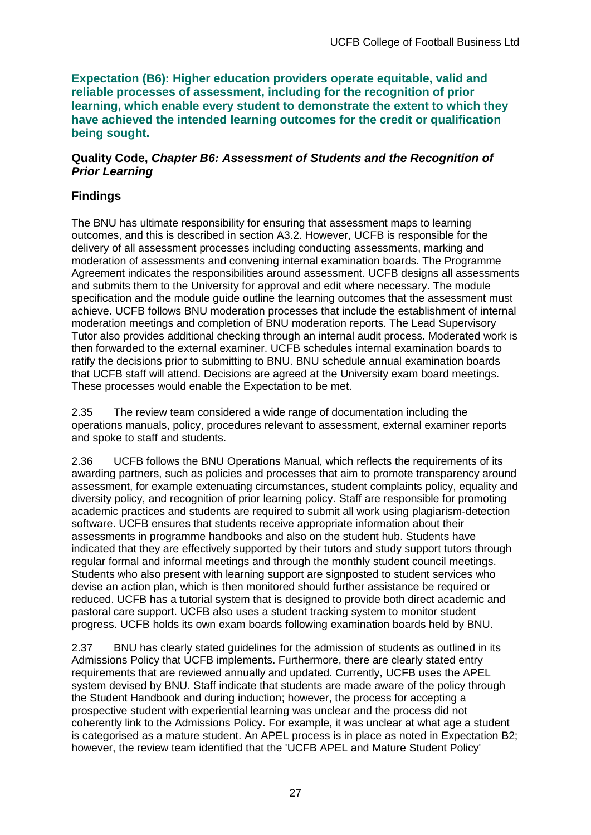**Expectation (B6): Higher education providers operate equitable, valid and reliable processes of assessment, including for the recognition of prior learning, which enable every student to demonstrate the extent to which they have achieved the intended learning outcomes for the credit or qualification being sought.**

### **Quality Code,** *Chapter B6: Assessment of Students and the Recognition of Prior Learning*

## **Findings**

The BNU has ultimate responsibility for ensuring that assessment maps to learning outcomes, and this is described in section A3.2. However, UCFB is responsible for the delivery of all assessment processes including conducting assessments, marking and moderation of assessments and convening internal examination boards. The Programme Agreement indicates the responsibilities around assessment. UCFB designs all assessments and submits them to the University for approval and edit where necessary. The module specification and the module guide outline the learning outcomes that the assessment must achieve. UCFB follows BNU moderation processes that include the establishment of internal moderation meetings and completion of BNU moderation reports. The Lead Supervisory Tutor also provides additional checking through an internal audit process. Moderated work is then forwarded to the external examiner. UCFB schedules internal examination boards to ratify the decisions prior to submitting to BNU. BNU schedule annual examination boards that UCFB staff will attend. Decisions are agreed at the University exam board meetings. These processes would enable the Expectation to be met.

2.35 The review team considered a wide range of documentation including the operations manuals, policy, procedures relevant to assessment, external examiner reports and spoke to staff and students.

2.36 UCFB follows the BNU Operations Manual, which reflects the requirements of its awarding partners, such as policies and processes that aim to promote transparency around assessment, for example extenuating circumstances, student complaints policy, equality and diversity policy, and recognition of prior learning policy. Staff are responsible for promoting academic practices and students are required to submit all work using plagiarism-detection software. UCFB ensures that students receive appropriate information about their assessments in programme handbooks and also on the student hub. Students have indicated that they are effectively supported by their tutors and study support tutors through regular formal and informal meetings and through the monthly student council meetings. Students who also present with learning support are signposted to student services who devise an action plan, which is then monitored should further assistance be required or reduced. UCFB has a tutorial system that is designed to provide both direct academic and pastoral care support. UCFB also uses a student tracking system to monitor student progress. UCFB holds its own exam boards following examination boards held by BNU.

2.37 BNU has clearly stated guidelines for the admission of students as outlined in its Admissions Policy that UCFB implements. Furthermore, there are clearly stated entry requirements that are reviewed annually and updated. Currently, UCFB uses the APEL system devised by BNU. Staff indicate that students are made aware of the policy through the Student Handbook and during induction; however, the process for accepting a prospective student with experiential learning was unclear and the process did not coherently link to the Admissions Policy. For example, it was unclear at what age a student is categorised as a mature student. An APEL process is in place as noted in Expectation B2; however, the review team identified that the 'UCFB APEL and Mature Student Policy'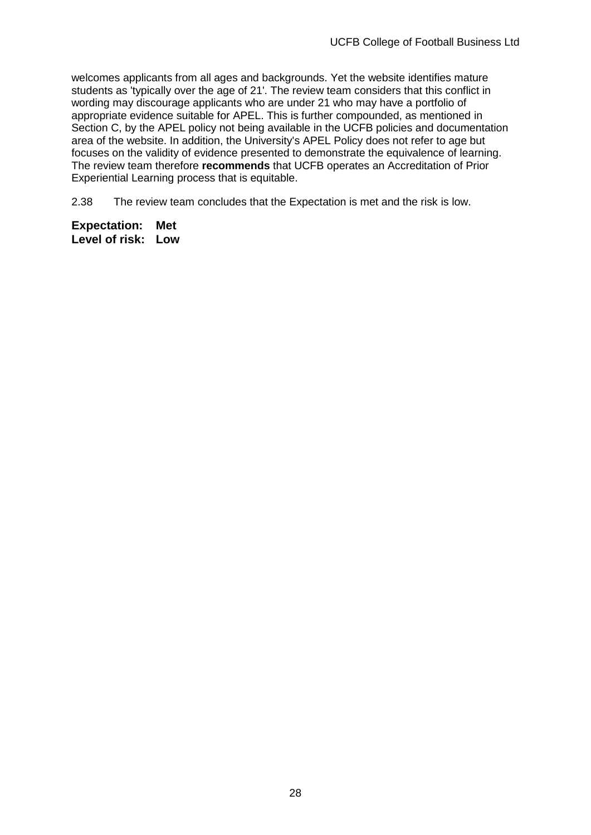welcomes applicants from all ages and backgrounds. Yet the website identifies mature students as 'typically over the age of 21'. The review team considers that this conflict in wording may discourage applicants who are under 21 who may have a portfolio of appropriate evidence suitable for APEL. This is further compounded, as mentioned in Section C, by the APEL policy not being available in the UCFB policies and documentation area of the website. In addition, the University's APEL Policy does not refer to age but focuses on the validity of evidence presented to demonstrate the equivalence of learning. The review team therefore **recommends** that UCFB operates an Accreditation of Prior Experiential Learning process that is equitable.

2.38 The review team concludes that the Expectation is met and the risk is low.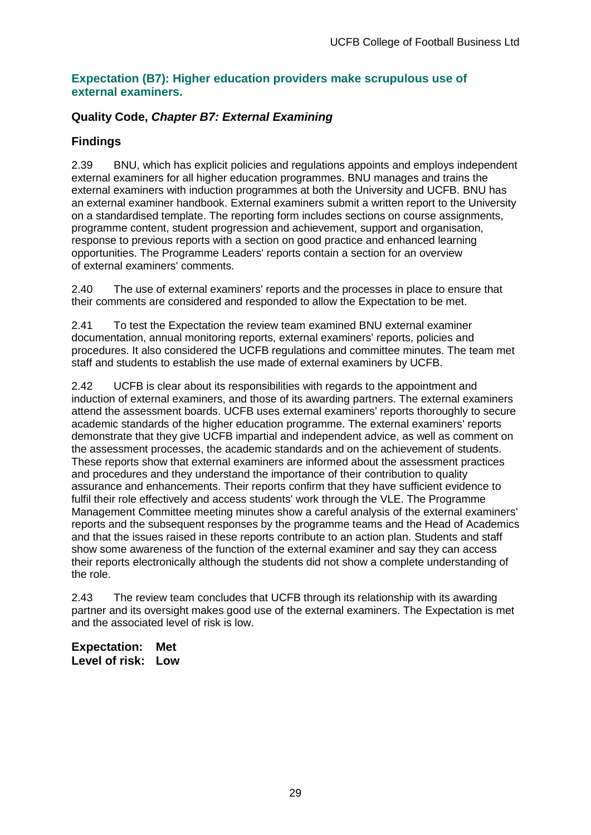### **Expectation (B7): Higher education providers make scrupulous use of external examiners.**

## **Quality Code,** *Chapter B7: External Examining*

## **Findings**

2.39 BNU, which has explicit policies and regulations appoints and employs independent external examiners for all higher education programmes. BNU manages and trains the external examiners with induction programmes at both the University and UCFB. BNU has an external examiner handbook. External examiners submit a written report to the University on a standardised template. The reporting form includes sections on course assignments, programme content, student progression and achievement, support and organisation, response to previous reports with a section on good practice and enhanced learning opportunities. The Programme Leaders' reports contain a section for an overview of external examiners' comments.

2.40 The use of external examiners' reports and the processes in place to ensure that their comments are considered and responded to allow the Expectation to be met.

2.41 To test the Expectation the review team examined BNU external examiner documentation, annual monitoring reports, external examiners' reports, policies and procedures. It also considered the UCFB regulations and committee minutes. The team met staff and students to establish the use made of external examiners by UCFB.

2.42 UCFB is clear about its responsibilities with regards to the appointment and induction of external examiners, and those of its awarding partners. The external examiners attend the assessment boards. UCFB uses external examiners' reports thoroughly to secure academic standards of the higher education programme. The external examiners' reports demonstrate that they give UCFB impartial and independent advice, as well as comment on the assessment processes, the academic standards and on the achievement of students. These reports show that external examiners are informed about the assessment practices and procedures and they understand the importance of their contribution to quality assurance and enhancements. Their reports confirm that they have sufficient evidence to fulfil their role effectively and access students' work through the VLE. The Programme Management Committee meeting minutes show a careful analysis of the external examiners' reports and the subsequent responses by the programme teams and the Head of Academics and that the issues raised in these reports contribute to an action plan. Students and staff show some awareness of the function of the external examiner and say they can access their reports electronically although the students did not show a complete understanding of the role.

2.43 The review team concludes that UCFB through its relationship with its awarding partner and its oversight makes good use of the external examiners. The Expectation is met and the associated level of risk is low.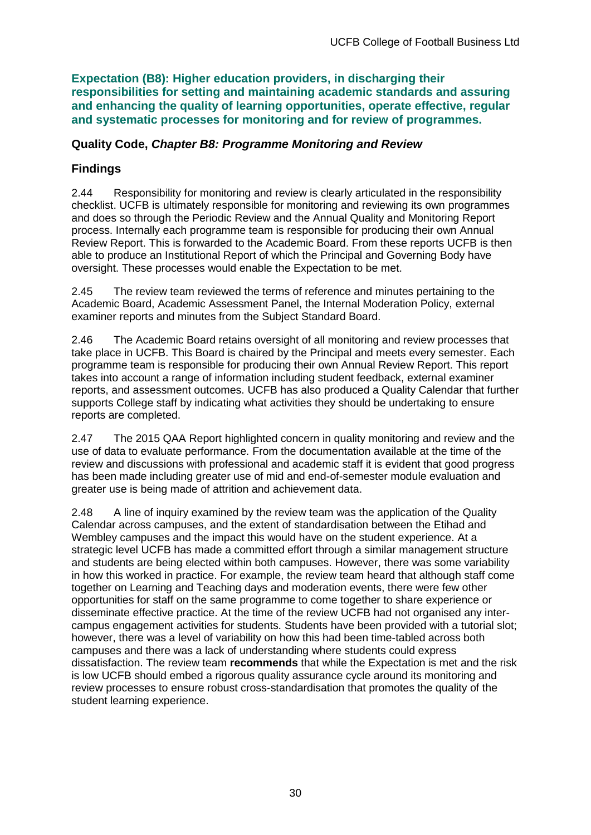**Expectation (B8): Higher education providers, in discharging their responsibilities for setting and maintaining academic standards and assuring and enhancing the quality of learning opportunities, operate effective, regular and systematic processes for monitoring and for review of programmes.**

### **Quality Code,** *Chapter B8: Programme Monitoring and Review*

## **Findings**

2.44 Responsibility for monitoring and review is clearly articulated in the responsibility checklist. UCFB is ultimately responsible for monitoring and reviewing its own programmes and does so through the Periodic Review and the Annual Quality and Monitoring Report process. Internally each programme team is responsible for producing their own Annual Review Report. This is forwarded to the Academic Board. From these reports UCFB is then able to produce an Institutional Report of which the Principal and Governing Body have oversight. These processes would enable the Expectation to be met.

2.45 The review team reviewed the terms of reference and minutes pertaining to the Academic Board, Academic Assessment Panel, the Internal Moderation Policy, external examiner reports and minutes from the Subject Standard Board.

2.46 The Academic Board retains oversight of all monitoring and review processes that take place in UCFB. This Board is chaired by the Principal and meets every semester. Each programme team is responsible for producing their own Annual Review Report. This report takes into account a range of information including student feedback, external examiner reports, and assessment outcomes. UCFB has also produced a Quality Calendar that further supports College staff by indicating what activities they should be undertaking to ensure reports are completed.

2.47 The 2015 QAA Report highlighted concern in quality monitoring and review and the use of data to evaluate performance. From the documentation available at the time of the review and discussions with professional and academic staff it is evident that good progress has been made including greater use of mid and end-of-semester module evaluation and greater use is being made of attrition and achievement data.

2.48 A line of inquiry examined by the review team was the application of the Quality Calendar across campuses, and the extent of standardisation between the Etihad and Wembley campuses and the impact this would have on the student experience. At a strategic level UCFB has made a committed effort through a similar management structure and students are being elected within both campuses. However, there was some variability in how this worked in practice. For example, the review team heard that although staff come together on Learning and Teaching days and moderation events, there were few other opportunities for staff on the same programme to come together to share experience or disseminate effective practice. At the time of the review UCFB had not organised any intercampus engagement activities for students. Students have been provided with a tutorial slot; however, there was a level of variability on how this had been time-tabled across both campuses and there was a lack of understanding where students could express dissatisfaction. The review team **recommends** that while the Expectation is met and the risk is low UCFB should embed a rigorous quality assurance cycle around its monitoring and review processes to ensure robust cross-standardisation that promotes the quality of the student learning experience.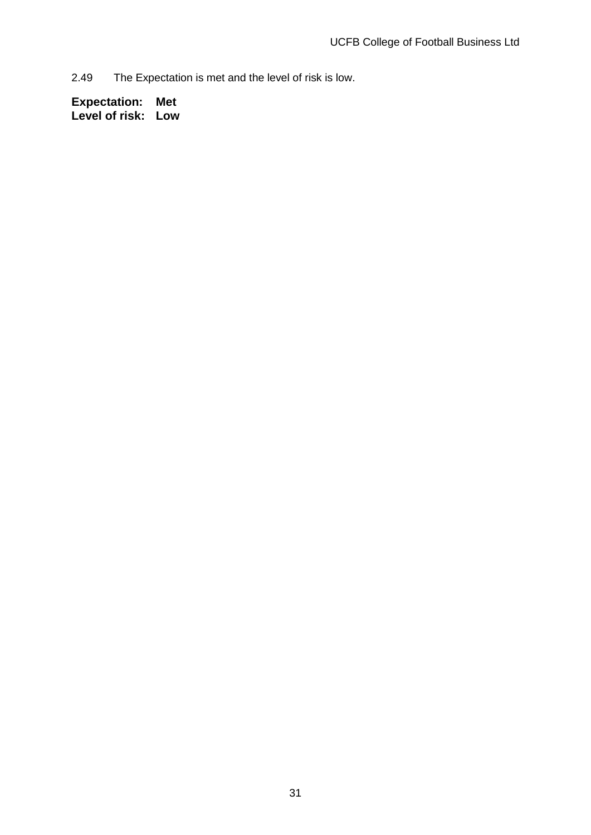2.49 The Expectation is met and the level of risk is low.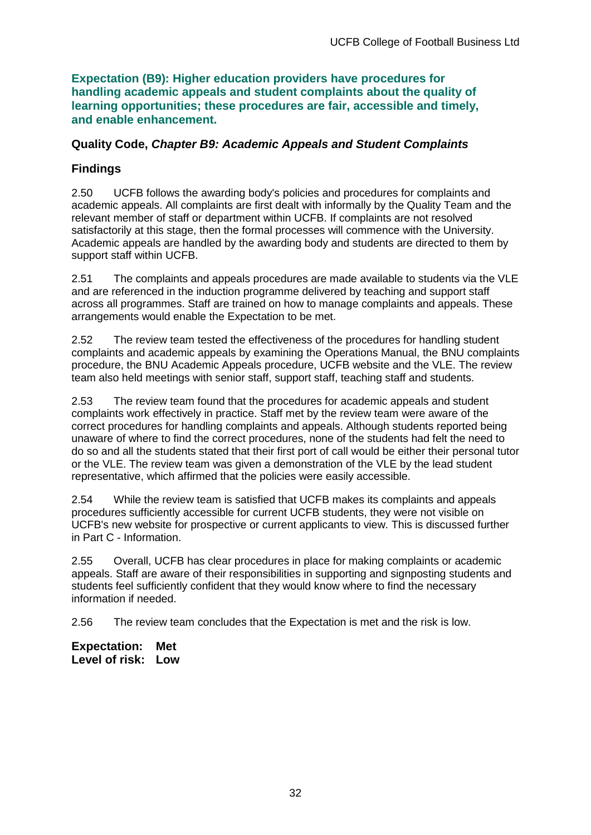**Expectation (B9): Higher education providers have procedures for handling academic appeals and student complaints about the quality of learning opportunities; these procedures are fair, accessible and timely, and enable enhancement.** 

### **Quality Code,** *Chapter B9: Academic Appeals and Student Complaints*

## **Findings**

2.50 UCFB follows the awarding body's policies and procedures for complaints and academic appeals. All complaints are first dealt with informally by the Quality Team and the relevant member of staff or department within UCFB. If complaints are not resolved satisfactorily at this stage, then the formal processes will commence with the University. Academic appeals are handled by the awarding body and students are directed to them by support staff within UCFB.

2.51 The complaints and appeals procedures are made available to students via the VLE and are referenced in the induction programme delivered by teaching and support staff across all programmes. Staff are trained on how to manage complaints and appeals. These arrangements would enable the Expectation to be met.

2.52 The review team tested the effectiveness of the procedures for handling student complaints and academic appeals by examining the Operations Manual, the BNU complaints procedure, the BNU Academic Appeals procedure, UCFB website and the VLE. The review team also held meetings with senior staff, support staff, teaching staff and students.

2.53 The review team found that the procedures for academic appeals and student complaints work effectively in practice. Staff met by the review team were aware of the correct procedures for handling complaints and appeals. Although students reported being unaware of where to find the correct procedures, none of the students had felt the need to do so and all the students stated that their first port of call would be either their personal tutor or the VLE. The review team was given a demonstration of the VLE by the lead student representative, which affirmed that the policies were easily accessible.

2.54 While the review team is satisfied that UCFB makes its complaints and appeals procedures sufficiently accessible for current UCFB students, they were not visible on UCFB's new website for prospective or current applicants to view. This is discussed further in Part C - Information.

2.55 Overall, UCFB has clear procedures in place for making complaints or academic appeals. Staff are aware of their responsibilities in supporting and signposting students and students feel sufficiently confident that they would know where to find the necessary information if needed.

2.56 The review team concludes that the Expectation is met and the risk is low.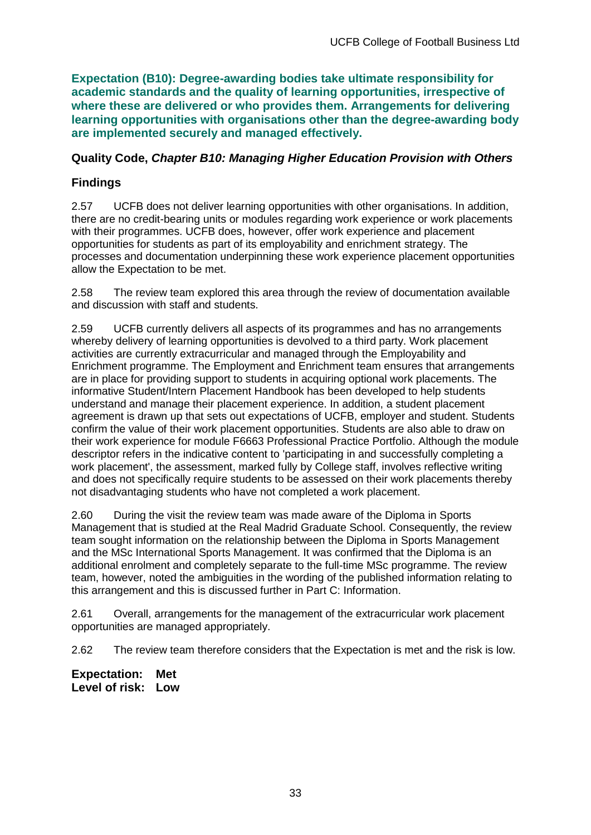**Expectation (B10): Degree-awarding bodies take ultimate responsibility for academic standards and the quality of learning opportunities, irrespective of where these are delivered or who provides them. Arrangements for delivering learning opportunities with organisations other than the degree-awarding body are implemented securely and managed effectively.**

### **Quality Code,** *Chapter B10: Managing Higher Education Provision with Others*

## **Findings**

2.57 UCFB does not deliver learning opportunities with other organisations. In addition, there are no credit-bearing units or modules regarding work experience or work placements with their programmes. UCFB does, however, offer work experience and placement opportunities for students as part of its employability and enrichment strategy. The processes and documentation underpinning these work experience placement opportunities allow the Expectation to be met.

2.58 The review team explored this area through the review of documentation available and discussion with staff and students.

2.59 UCFB currently delivers all aspects of its programmes and has no arrangements whereby delivery of learning opportunities is devolved to a third party. Work placement activities are currently extracurricular and managed through the Employability and Enrichment programme. The Employment and Enrichment team ensures that arrangements are in place for providing support to students in acquiring optional work placements. The informative Student/Intern Placement Handbook has been developed to help students understand and manage their placement experience. In addition, a student placement agreement is drawn up that sets out expectations of UCFB, employer and student. Students confirm the value of their work placement opportunities. Students are also able to draw on their work experience for module F6663 Professional Practice Portfolio. Although the module descriptor refers in the indicative content to 'participating in and successfully completing a work placement', the assessment, marked fully by College staff, involves reflective writing and does not specifically require students to be assessed on their work placements thereby not disadvantaging students who have not completed a work placement.

2.60 During the visit the review team was made aware of the Diploma in Sports Management that is studied at the Real Madrid Graduate School. Consequently, the review team sought information on the relationship between the Diploma in Sports Management and the MSc International Sports Management. It was confirmed that the Diploma is an additional enrolment and completely separate to the full-time MSc programme. The review team, however, noted the ambiguities in the wording of the published information relating to this arrangement and this is discussed further in Part C: Information.

2.61 Overall, arrangements for the management of the extracurricular work placement opportunities are managed appropriately.

2.62 The review team therefore considers that the Expectation is met and the risk is low.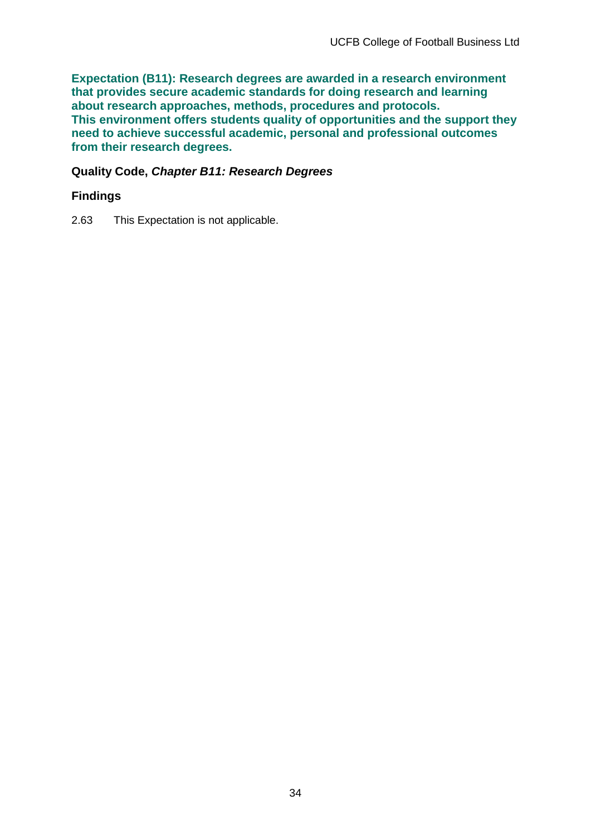**Expectation (B11): Research degrees are awarded in a research environment that provides secure academic standards for doing research and learning about research approaches, methods, procedures and protocols. This environment offers students quality of opportunities and the support they need to achieve successful academic, personal and professional outcomes from their research degrees.**

## **Quality Code,** *Chapter B11: Research Degrees*

### **Findings**

2.63 This Expectation is not applicable.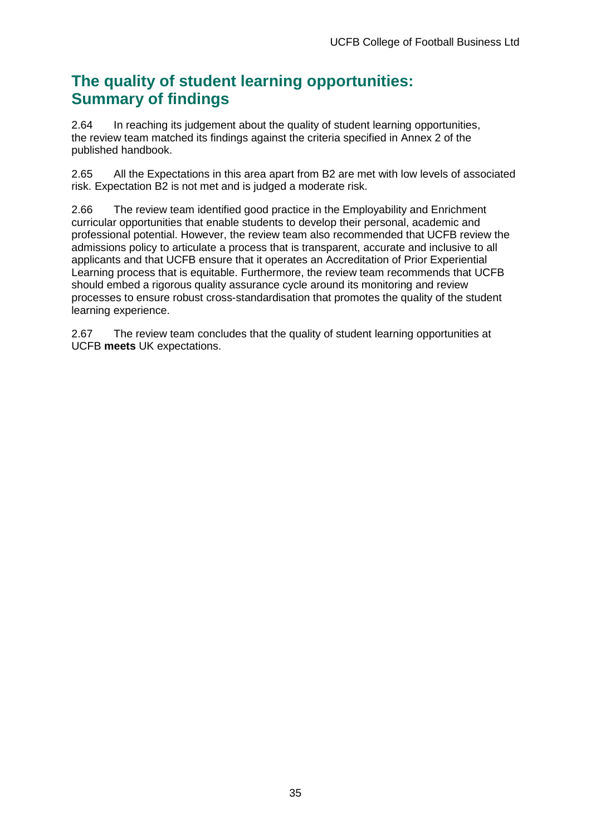## **The quality of student learning opportunities: Summary of findings**

2.64 In reaching its judgement about the quality of student learning opportunities, the review team matched its findings against the criteria specified in Annex 2 of the published handbook.

2.65 All the Expectations in this area apart from B2 are met with low levels of associated risk. Expectation B2 is not met and is judged a moderate risk.

2.66 The review team identified good practice in the Employability and Enrichment curricular opportunities that enable students to develop their personal, academic and professional potential. However, the review team also recommended that UCFB review the admissions policy to articulate a process that is transparent, accurate and inclusive to all applicants and that UCFB ensure that it operates an Accreditation of Prior Experiential Learning process that is equitable. Furthermore, the review team recommends that UCFB should embed a rigorous quality assurance cycle around its monitoring and review processes to ensure robust cross-standardisation that promotes the quality of the student learning experience.

2.67 The review team concludes that the quality of student learning opportunities at UCFB **meets** UK expectations.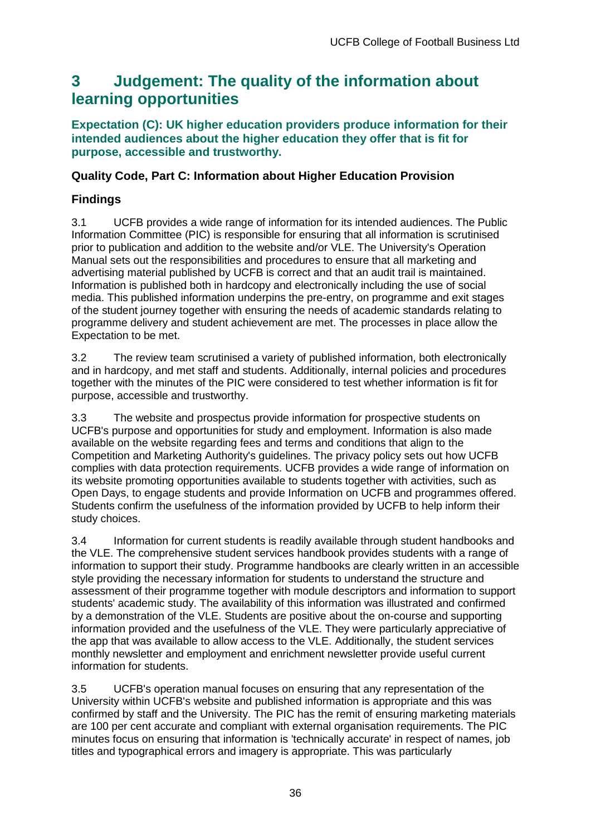## <span id="page-36-0"></span>**3 Judgement: The quality of the information about learning opportunities**

#### **Expectation (C): UK higher education providers produce information for their intended audiences about the higher education they offer that is fit for purpose, accessible and trustworthy.**

## **Quality Code, Part C: Information about Higher Education Provision**

## **Findings**

3.1 UCFB provides a wide range of information for its intended audiences. The Public Information Committee (PIC) is responsible for ensuring that all information is scrutinised prior to publication and addition to the website and/or VLE. The University's Operation Manual sets out the responsibilities and procedures to ensure that all marketing and advertising material published by UCFB is correct and that an audit trail is maintained. Information is published both in hardcopy and electronically including the use of social media. This published information underpins the pre-entry, on programme and exit stages of the student journey together with ensuring the needs of academic standards relating to programme delivery and student achievement are met. The processes in place allow the Expectation to be met.

3.2 The review team scrutinised a variety of published information, both electronically and in hardcopy, and met staff and students. Additionally, internal policies and procedures together with the minutes of the PIC were considered to test whether information is fit for purpose, accessible and trustworthy.

3.3 The website and prospectus provide information for prospective students on UCFB's purpose and opportunities for study and employment. Information is also made available on the website regarding fees and terms and conditions that align to the Competition and Marketing Authority's guidelines. The privacy policy sets out how UCFB complies with data protection requirements. UCFB provides a wide range of information on its website promoting opportunities available to students together with activities, such as Open Days, to engage students and provide Information on UCFB and programmes offered. Students confirm the usefulness of the information provided by UCFB to help inform their study choices.

3.4 Information for current students is readily available through student handbooks and the VLE. The comprehensive student services handbook provides students with a range of information to support their study. Programme handbooks are clearly written in an accessible style providing the necessary information for students to understand the structure and assessment of their programme together with module descriptors and information to support students' academic study. The availability of this information was illustrated and confirmed by a demonstration of the VLE. Students are positive about the on-course and supporting information provided and the usefulness of the VLE. They were particularly appreciative of the app that was available to allow access to the VLE. Additionally, the student services monthly newsletter and employment and enrichment newsletter provide useful current information for students.

3.5 UCFB's operation manual focuses on ensuring that any representation of the University within UCFB's website and published information is appropriate and this was confirmed by staff and the University. The PIC has the remit of ensuring marketing materials are 100 per cent accurate and compliant with external organisation requirements. The PIC minutes focus on ensuring that information is 'technically accurate' in respect of names, job titles and typographical errors and imagery is appropriate. This was particularly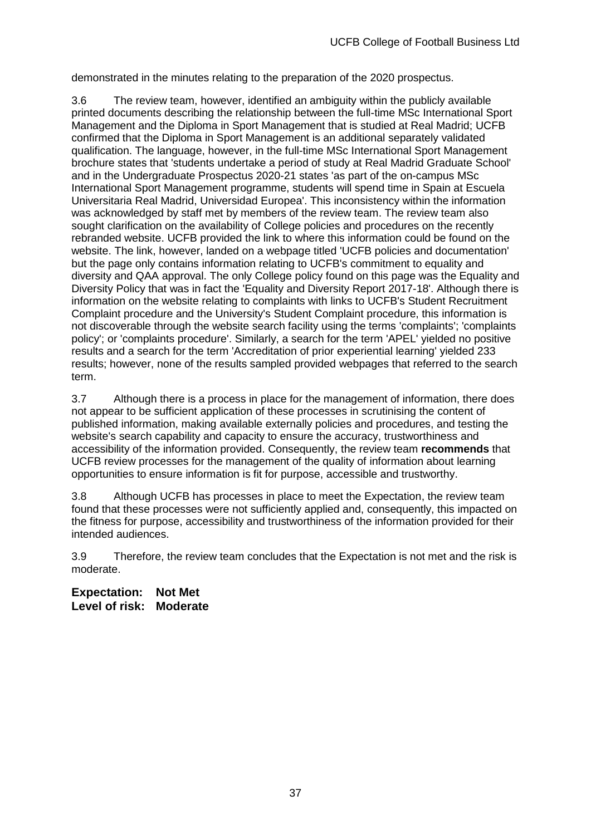demonstrated in the minutes relating to the preparation of the 2020 prospectus.

3.6 The review team, however, identified an ambiguity within the publicly available printed documents describing the relationship between the full-time MSc International Sport Management and the Diploma in Sport Management that is studied at Real Madrid; UCFB confirmed that the Diploma in Sport Management is an additional separately validated qualification. The language, however, in the full-time MSc International Sport Management brochure states that 'students undertake a period of study at Real Madrid Graduate School' and in the Undergraduate Prospectus 2020-21 states 'as part of the on-campus MSc International Sport Management programme, students will spend time in Spain at Escuela Universitaria Real Madrid, Universidad Europea'. This inconsistency within the information was acknowledged by staff met by members of the review team. The review team also sought clarification on the availability of College policies and procedures on the recently rebranded website. UCFB provided the link to where this information could be found on the website. The link, however, landed on a webpage titled 'UCFB policies and documentation' but the page only contains information relating to UCFB's commitment to equality and diversity and QAA approval. The only College policy found on this page was the Equality and Diversity Policy that was in fact the 'Equality and Diversity Report 2017-18'. Although there is information on the website relating to complaints with links to UCFB's Student Recruitment Complaint procedure and the University's Student Complaint procedure, this information is not discoverable through the website search facility using the terms 'complaints'; 'complaints policy'; or 'complaints procedure'. Similarly, a search for the term 'APEL' yielded no positive results and a search for the term 'Accreditation of prior experiential learning' yielded 233 results; however, none of the results sampled provided webpages that referred to the search term.

3.7 Although there is a process in place for the management of information, there does not appear to be sufficient application of these processes in scrutinising the content of published information, making available externally policies and procedures, and testing the website's search capability and capacity to ensure the accuracy, trustworthiness and accessibility of the information provided. Consequently, the review team **recommends** that UCFB review processes for the management of the quality of information about learning opportunities to ensure information is fit for purpose, accessible and trustworthy.

3.8 Although UCFB has processes in place to meet the Expectation, the review team found that these processes were not sufficiently applied and, consequently, this impacted on the fitness for purpose, accessibility and trustworthiness of the information provided for their intended audiences.

3.9 Therefore, the review team concludes that the Expectation is not met and the risk is moderate.

**Expectation: Not Met Level of risk: Moderate**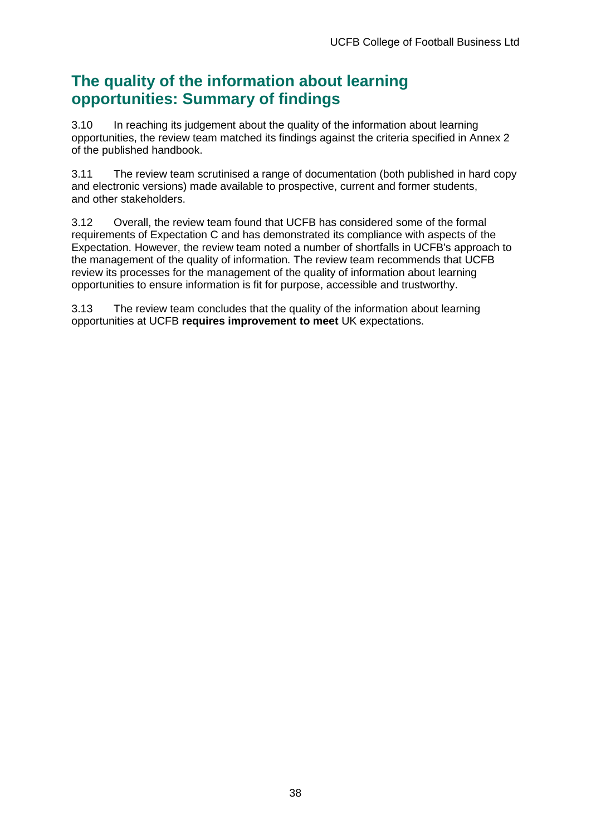## **The quality of the information about learning opportunities: Summary of findings**

3.10 In reaching its judgement about the quality of the information about learning opportunities, the review team matched its findings against the criteria specified in Annex 2 of the published handbook.

3.11 The review team scrutinised a range of documentation (both published in hard copy and electronic versions) made available to prospective, current and former students, and other stakeholders.

3.12 Overall, the review team found that UCFB has considered some of the formal requirements of Expectation C and has demonstrated its compliance with aspects of the Expectation. However, the review team noted a number of shortfalls in UCFB's approach to the management of the quality of information. The review team recommends that UCFB review its processes for the management of the quality of information about learning opportunities to ensure information is fit for purpose, accessible and trustworthy.

3.13 The review team concludes that the quality of the information about learning opportunities at UCFB **requires improvement to meet** UK expectations.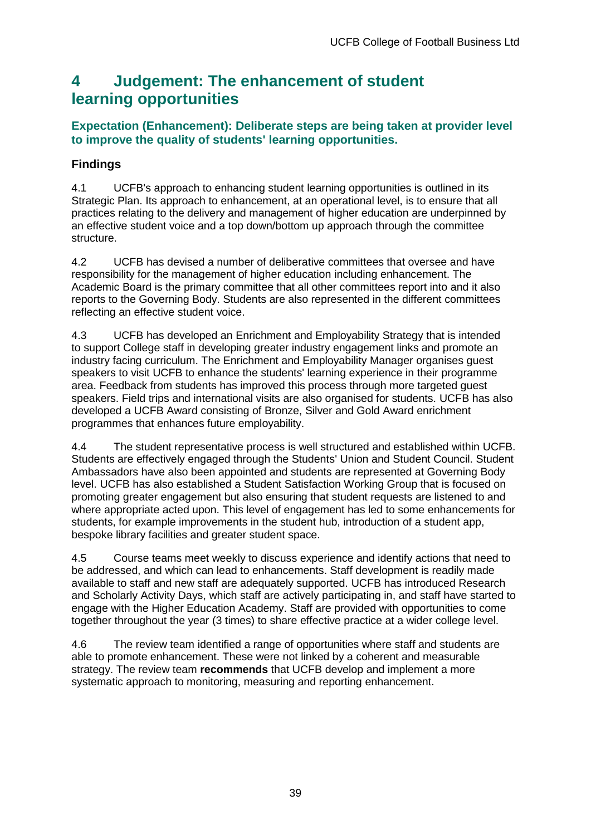## <span id="page-39-0"></span>**4 Judgement: The enhancement of student learning opportunities**

### **Expectation (Enhancement): Deliberate steps are being taken at provider level to improve the quality of students' learning opportunities.**

## **Findings**

4.1 UCFB's approach to enhancing student learning opportunities is outlined in its Strategic Plan. Its approach to enhancement, at an operational level, is to ensure that all practices relating to the delivery and management of higher education are underpinned by an effective student voice and a top down/bottom up approach through the committee structure.

4.2 UCFB has devised a number of deliberative committees that oversee and have responsibility for the management of higher education including enhancement. The Academic Board is the primary committee that all other committees report into and it also reports to the Governing Body. Students are also represented in the different committees reflecting an effective student voice.

4.3 UCFB has developed an Enrichment and Employability Strategy that is intended to support College staff in developing greater industry engagement links and promote an industry facing curriculum. The Enrichment and Employability Manager organises guest speakers to visit UCFB to enhance the students' learning experience in their programme area. Feedback from students has improved this process through more targeted guest speakers. Field trips and international visits are also organised for students. UCFB has also developed a UCFB Award consisting of Bronze, Silver and Gold Award enrichment programmes that enhances future employability.

4.4 The student representative process is well structured and established within UCFB. Students are effectively engaged through the Students' Union and Student Council. Student Ambassadors have also been appointed and students are represented at Governing Body level. UCFB has also established a Student Satisfaction Working Group that is focused on promoting greater engagement but also ensuring that student requests are listened to and where appropriate acted upon. This level of engagement has led to some enhancements for students, for example improvements in the student hub, introduction of a student app, bespoke library facilities and greater student space.

4.5 Course teams meet weekly to discuss experience and identify actions that need to be addressed, and which can lead to enhancements. Staff development is readily made available to staff and new staff are adequately supported. UCFB has introduced Research and Scholarly Activity Days, which staff are actively participating in, and staff have started to engage with the Higher Education Academy. Staff are provided with opportunities to come together throughout the year (3 times) to share effective practice at a wider college level.

4.6 The review team identified a range of opportunities where staff and students are able to promote enhancement. These were not linked by a coherent and measurable strategy. The review team **recommends** that UCFB develop and implement a more systematic approach to monitoring, measuring and reporting enhancement.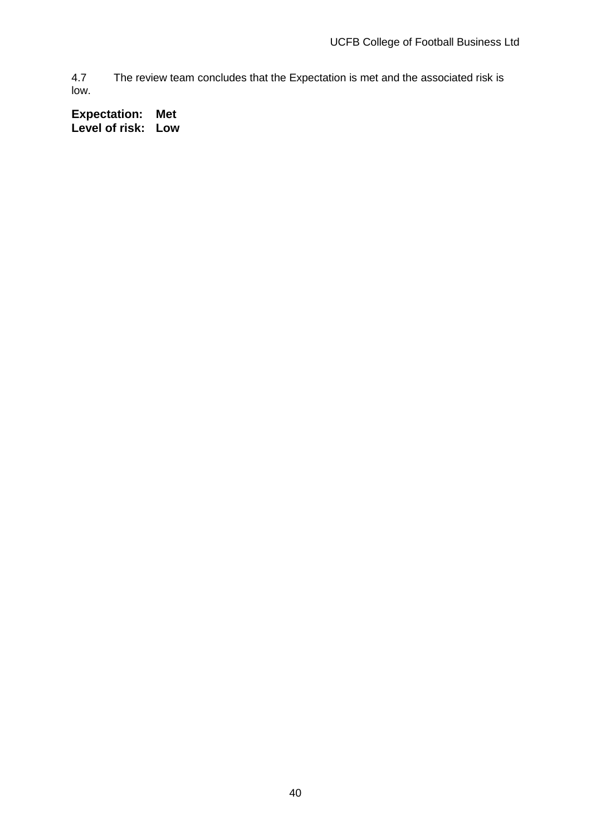4.7 The review team concludes that the Expectation is met and the associated risk is low.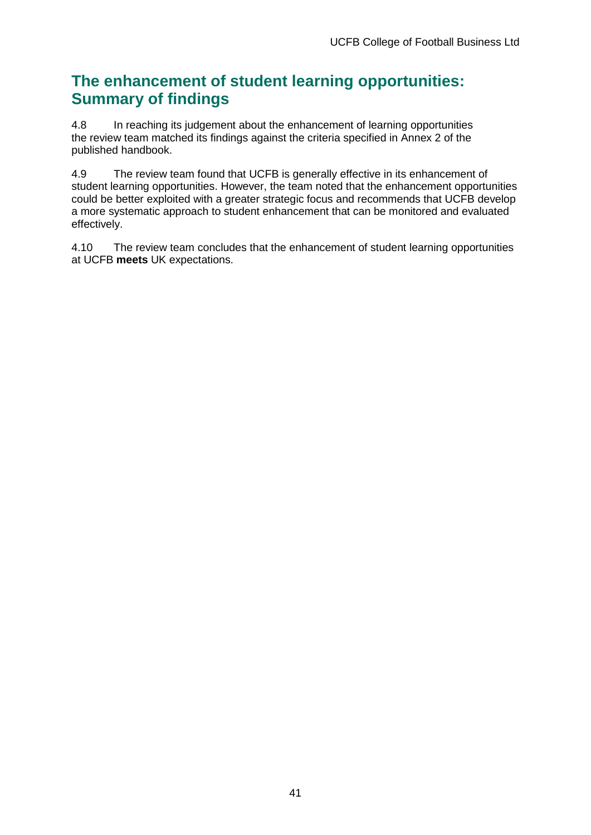## **The enhancement of student learning opportunities: Summary of findings**

4.8 In reaching its judgement about the enhancement of learning opportunities the review team matched its findings against the criteria specified in Annex 2 of the published handbook.

4.9 The review team found that UCFB is generally effective in its enhancement of student learning opportunities. However, the team noted that the enhancement opportunities could be better exploited with a greater strategic focus and recommends that UCFB develop a more systematic approach to student enhancement that can be monitored and evaluated effectively.

4.10 The review team concludes that the enhancement of student learning opportunities at UCFB **meets** UK expectations.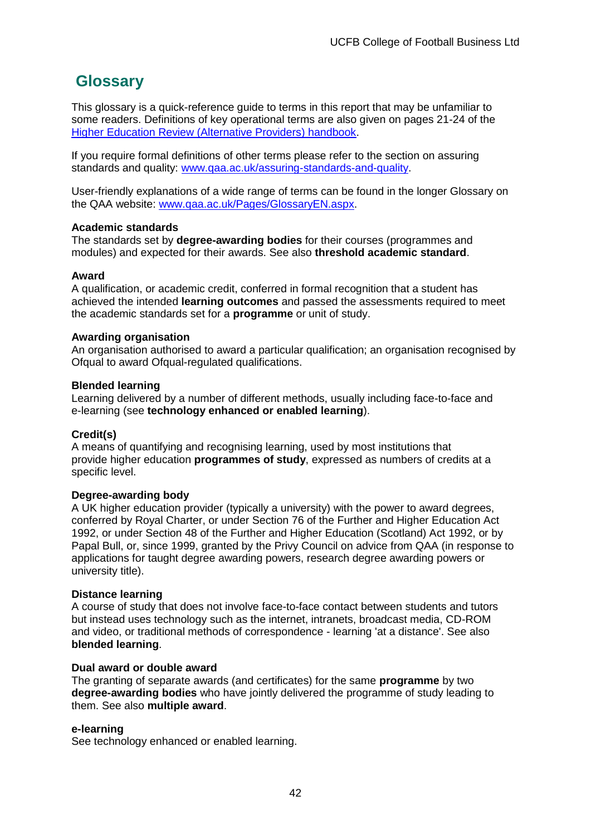## <span id="page-42-0"></span>**Glossary**

This glossary is a quick-reference guide to terms in this report that may be unfamiliar to some readers. Definitions of key operational terms are also given on pages 21-24 of the [Higher Education Review \(Alternative Providers\) handbook.](http://www.qaa.ac.uk/publications/information-and-guidance/publication/?PubID=3094)

If you require formal definitions of other terms please refer to the section on assuring standards and quality: [www.qaa.ac.uk/assuring-standards-and-quality.](https://reviewextranet.qaa.ac.uk/sites/her/9746/TeamDocuments/www.qaa.ac.uk/assuring-standards-and-quality)

User-friendly explanations of a wide range of terms can be found in the longer Glossary on the QAA website: [www.qaa.ac.uk/Pages/GlossaryEN.aspx.](http://www.qaa.ac.uk/Pages/GlossaryEN.aspx)

#### **Academic standards**

The standards set by **degree-awarding bodies** for their courses (programmes and modules) and expected for their awards. See also **threshold academic standard**.

#### **Award**

A qualification, or academic credit, conferred in formal recognition that a student has achieved the intended **learning outcomes** and passed the assessments required to meet the academic standards set for a **programme** or unit of study.

#### **Awarding organisation**

An organisation authorised to award a particular qualification; an organisation recognised by Ofqual to award Ofqual-regulated qualifications.

#### **Blended learning**

Learning delivered by a number of different methods, usually including face-to-face and e-learning (see **technology enhanced or enabled learning**).

#### **Credit(s)**

A means of quantifying and recognising learning, used by most institutions that provide higher education **programmes of study**, expressed as numbers of credits at a specific level.

#### **Degree-awarding body**

A UK higher education provider (typically a university) with the power to award degrees, conferred by Royal Charter, or under Section 76 of the Further and Higher Education Act 1992, or under Section 48 of the Further and Higher Education (Scotland) Act 1992, or by Papal Bull, or, since 1999, granted by the Privy Council on advice from QAA (in response to applications for taught degree awarding powers, research degree awarding powers or university title).

#### **Distance learning**

A course of study that does not involve face-to-face contact between students and tutors but instead uses technology such as the internet, intranets, broadcast media, CD-ROM and video, or traditional methods of correspondence - learning 'at a distance'. See also **blended learning**.

#### **Dual award or double award**

The granting of separate awards (and certificates) for the same **programme** by two **degree-awarding bodies** who have jointly delivered the programme of study leading to them. See also **multiple award**.

#### **e-learning**

See technology enhanced or enabled learning.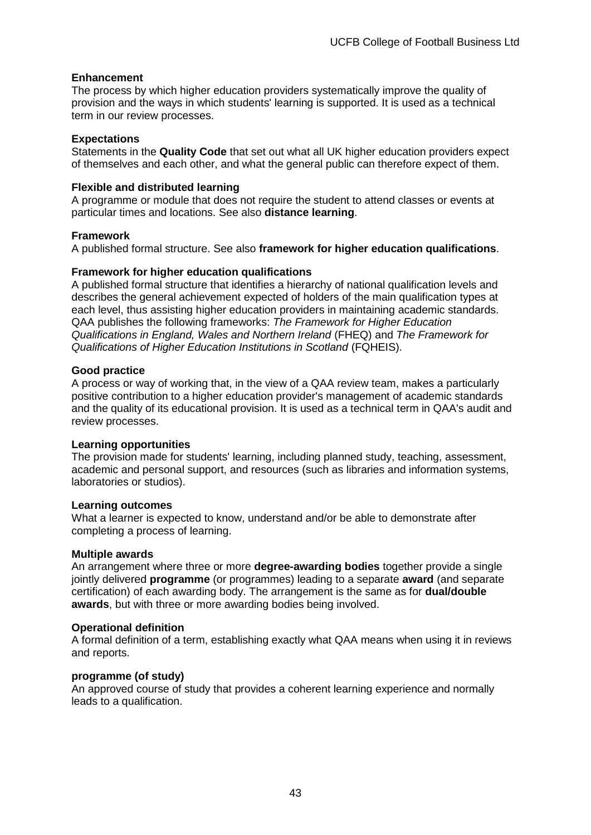#### **Enhancement**

The process by which higher education providers systematically improve the quality of provision and the ways in which students' learning is supported. It is used as a technical term in our review processes.

#### **Expectations**

Statements in the **Quality Code** that set out what all UK higher education providers expect of themselves and each other, and what the general public can therefore expect of them.

#### **Flexible and distributed learning**

A programme or module that does not require the student to attend classes or events at particular times and locations. See also **distance learning**.

#### **Framework**

A published formal structure. See also **framework for higher education qualifications**.

#### **Framework for higher education qualifications**

A published formal structure that identifies a hierarchy of national qualification levels and describes the general achievement expected of holders of the main qualification types at each level, thus assisting higher education providers in maintaining academic standards. QAA publishes the following frameworks: *The Framework for Higher Education Qualifications in England, Wales and Northern Ireland* (FHEQ) and *The Framework for Qualifications of Higher Education Institutions in Scotland* (FQHEIS).

#### **Good practice**

A process or way of working that, in the view of a QAA review team, makes a particularly positive contribution to a higher education provider's management of academic standards and the quality of its educational provision. It is used as a technical term in QAA's audit and review processes.

#### **Learning opportunities**

The provision made for students' learning, including planned study, teaching, assessment, academic and personal support, and resources (such as libraries and information systems, laboratories or studios).

#### **Learning outcomes**

What a learner is expected to know, understand and/or be able to demonstrate after completing a process of learning.

#### **Multiple awards**

An arrangement where three or more **degree-awarding bodies** together provide a single jointly delivered **programme** (or programmes) leading to a separate **award** (and separate certification) of each awarding body. The arrangement is the same as for **dual/double awards**, but with three or more awarding bodies being involved.

#### **Operational definition**

A formal definition of a term, establishing exactly what QAA means when using it in reviews and reports.

#### **programme (of study)**

An approved course of study that provides a coherent learning experience and normally leads to a qualification.